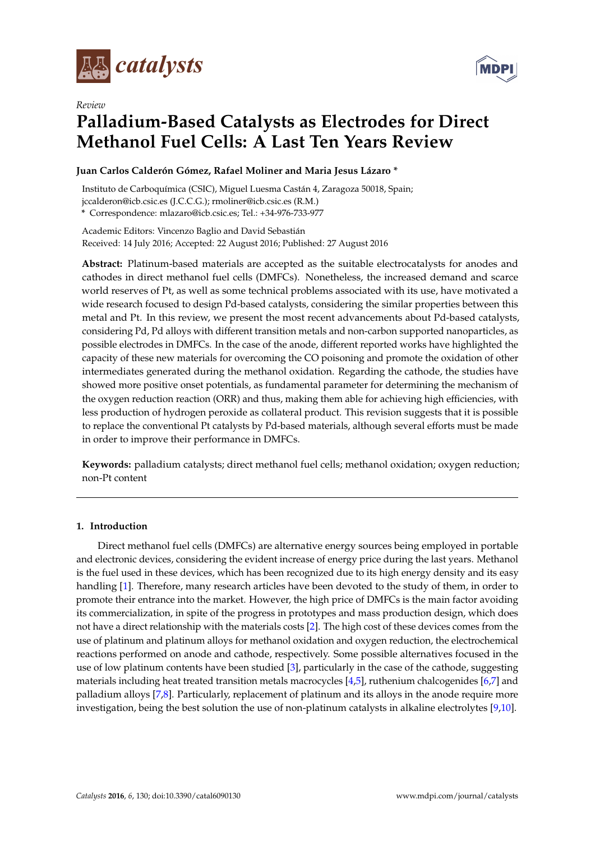

*Review*



# **Palladium-Based Catalysts as Electrodes for Direct Methanol Fuel Cells: A Last Ten Years Review**

### **Juan Carlos Calderón Gómez, Rafael Moliner and Maria Jesus Lázaro \***

Instituto de Carboquímica (CSIC), Miguel Luesma Castán 4, Zaragoza 50018, Spain; jccalderon@icb.csic.es (J.C.C.G.); rmoliner@icb.csic.es (R.M.) **\*** Correspondence: mlazaro@icb.csic.es; Tel.: +34-976-733-977

Academic Editors: Vincenzo Baglio and David Sebastián Received: 14 July 2016; Accepted: 22 August 2016; Published: 27 August 2016

**Abstract:** Platinum-based materials are accepted as the suitable electrocatalysts for anodes and cathodes in direct methanol fuel cells (DMFCs). Nonetheless, the increased demand and scarce world reserves of Pt, as well as some technical problems associated with its use, have motivated a wide research focused to design Pd-based catalysts, considering the similar properties between this metal and Pt. In this review, we present the most recent advancements about Pd-based catalysts, considering Pd, Pd alloys with different transition metals and non-carbon supported nanoparticles, as possible electrodes in DMFCs. In the case of the anode, different reported works have highlighted the capacity of these new materials for overcoming the CO poisoning and promote the oxidation of other intermediates generated during the methanol oxidation. Regarding the cathode, the studies have showed more positive onset potentials, as fundamental parameter for determining the mechanism of the oxygen reduction reaction (ORR) and thus, making them able for achieving high efficiencies, with less production of hydrogen peroxide as collateral product. This revision suggests that it is possible to replace the conventional Pt catalysts by Pd-based materials, although several efforts must be made in order to improve their performance in DMFCs.

**Keywords:** palladium catalysts; direct methanol fuel cells; methanol oxidation; oxygen reduction; non-Pt content

### **1. Introduction**

Direct methanol fuel cells (DMFCs) are alternative energy sources being employed in portable and electronic devices, considering the evident increase of energy price during the last years. Methanol is the fuel used in these devices, which has been recognized due to its high energy density and its easy handling [\[1\]](#page-15-0). Therefore, many research articles have been devoted to the study of them, in order to promote their entrance into the market. However, the high price of DMFCs is the main factor avoiding its commercialization, in spite of the progress in prototypes and mass production design, which does not have a direct relationship with the materials costs [\[2\]](#page-15-1). The high cost of these devices comes from the use of platinum and platinum alloys for methanol oxidation and oxygen reduction, the electrochemical reactions performed on anode and cathode, respectively. Some possible alternatives focused in the use of low platinum contents have been studied [\[3\]](#page-15-2), particularly in the case of the cathode, suggesting materials including heat treated transition metals macrocycles [\[4,](#page-15-3)[5\]](#page-15-4), ruthenium chalcogenides [\[6,](#page-15-5)[7\]](#page-15-6) and palladium alloys [\[7,](#page-15-6)[8\]](#page-15-7). Particularly, replacement of platinum and its alloys in the anode require more investigation, being the best solution the use of non-platinum catalysts in alkaline electrolytes [\[9](#page-15-8)[,10\]](#page-15-9).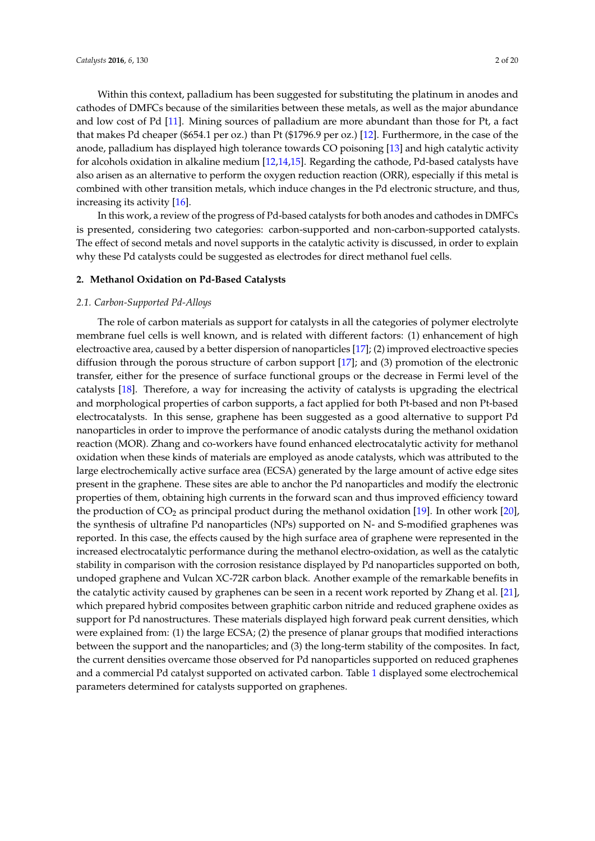Within this context, palladium has been suggested for substituting the platinum in anodes and cathodes of DMFCs because of the similarities between these metals, as well as the major abundance and low cost of Pd [\[11\]](#page-15-10). Mining sources of palladium are more abundant than those for Pt, a fact that makes Pd cheaper (\$654.1 per oz.) than Pt (\$1796.9 per oz.) [\[12\]](#page-15-11). Furthermore, in the case of the anode, palladium has displayed high tolerance towards CO poisoning [\[13\]](#page-15-12) and high catalytic activity for alcohols oxidation in alkaline medium [\[12](#page-15-11)[,14](#page-15-13)[,15\]](#page-15-14). Regarding the cathode, Pd-based catalysts have also arisen as an alternative to perform the oxygen reduction reaction (ORR), especially if this metal is combined with other transition metals, which induce changes in the Pd electronic structure, and thus, increasing its activity [\[16\]](#page-16-0).

In this work, a review of the progress of Pd-based catalysts for both anodes and cathodes in DMFCs is presented, considering two categories: carbon-supported and non-carbon-supported catalysts. The effect of second metals and novel supports in the catalytic activity is discussed, in order to explain why these Pd catalysts could be suggested as electrodes for direct methanol fuel cells.

### **2. Methanol Oxidation on Pd-Based Catalysts**

### *2.1. Carbon-Supported Pd-Alloys*

The role of carbon materials as support for catalysts in all the categories of polymer electrolyte membrane fuel cells is well known, and is related with different factors: (1) enhancement of high electroactive area, caused by a better dispersion of nanoparticles [\[17\]](#page-16-1); (2) improved electroactive species diffusion through the porous structure of carbon support [\[17\]](#page-16-1); and (3) promotion of the electronic transfer, either for the presence of surface functional groups or the decrease in Fermi level of the catalysts [\[18\]](#page-16-2). Therefore, a way for increasing the activity of catalysts is upgrading the electrical and morphological properties of carbon supports, a fact applied for both Pt-based and non Pt-based electrocatalysts. In this sense, graphene has been suggested as a good alternative to support Pd nanoparticles in order to improve the performance of anodic catalysts during the methanol oxidation reaction (MOR). Zhang and co-workers have found enhanced electrocatalytic activity for methanol oxidation when these kinds of materials are employed as anode catalysts, which was attributed to the large electrochemically active surface area (ECSA) generated by the large amount of active edge sites present in the graphene. These sites are able to anchor the Pd nanoparticles and modify the electronic properties of them, obtaining high currents in the forward scan and thus improved efficiency toward the production of  $CO_2$  as principal product during the methanol oxidation [\[19\]](#page-16-3). In other work [\[20\]](#page-16-4), the synthesis of ultrafine Pd nanoparticles (NPs) supported on N- and S-modified graphenes was reported. In this case, the effects caused by the high surface area of graphene were represented in the increased electrocatalytic performance during the methanol electro-oxidation, as well as the catalytic stability in comparison with the corrosion resistance displayed by Pd nanoparticles supported on both, undoped graphene and Vulcan XC-72R carbon black. Another example of the remarkable benefits in the catalytic activity caused by graphenes can be seen in a recent work reported by Zhang et al. [\[21\]](#page-16-5), which prepared hybrid composites between graphitic carbon nitride and reduced graphene oxides as support for Pd nanostructures. These materials displayed high forward peak current densities, which were explained from: (1) the large ECSA; (2) the presence of planar groups that modified interactions between the support and the nanoparticles; and (3) the long-term stability of the composites. In fact, the current densities overcame those observed for Pd nanoparticles supported on reduced graphenes and a commercial Pd catalyst supported on activated carbon. Table [1](#page-2-0) displayed some electrochemical parameters determined for catalysts supported on graphenes.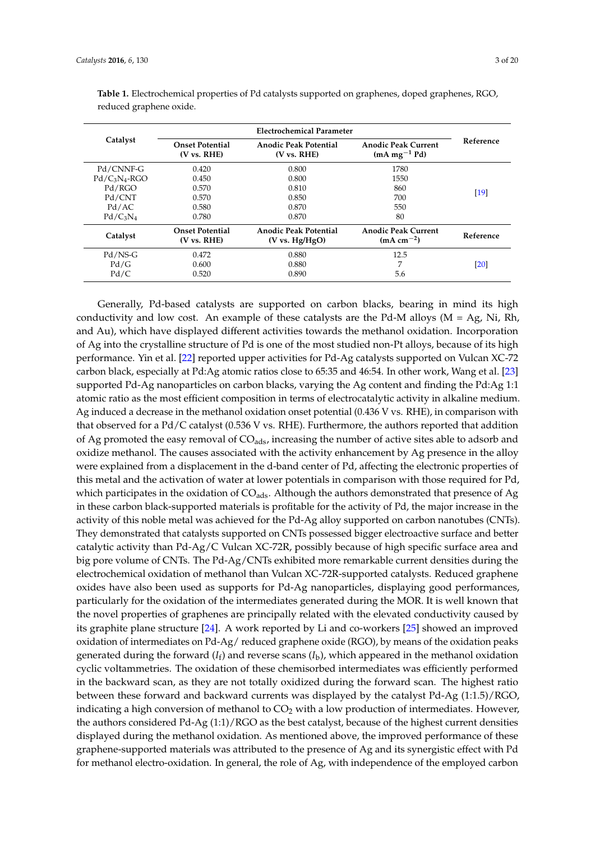| Catalyst         | <b>Onset Potential</b><br>(V vs. RHE)           | Anodic Peak Potential<br>$(V \text{ vs. RHE})$ | <b>Anodic Peak Current</b><br>$(mA mg-1 Pd)$ | Reference |  |
|------------------|-------------------------------------------------|------------------------------------------------|----------------------------------------------|-----------|--|
| Pd/CNNF-G        | 0.420                                           | 0.800                                          | 1780                                         |           |  |
| $Pd/C_3N_4$ -RGO | 0.450                                           | 0.800                                          | 1550                                         |           |  |
| Pd/RGO           | 0.570                                           | 0.810                                          | 860                                          | $[19]$    |  |
| Pd/CNT           | 0.570                                           | 0.850                                          | 700                                          |           |  |
| Pd/AC            | 0.580                                           | 0.870                                          | 550                                          |           |  |
| $Pd/C_3N_4$      | 0.780                                           | 0.870                                          | 80                                           |           |  |
| Catalyst         | <b>Onset Potential</b><br>$(V \text{ vs. RHE})$ | <b>Anodic Peak Potential</b><br>(V vs. Hg/HgO) | <b>Anodic Peak Current</b><br>$(mA cm-2)$    | Reference |  |
| Pd/NS-G          | 0.472                                           | 0.880                                          | 12.5                                         |           |  |
| Pd/G             | 0.600                                           | 0.880                                          | 7                                            | [20]      |  |
| Pd/C             | 0.520                                           | 0.890                                          | 5.6                                          |           |  |

<span id="page-2-0"></span>**Table 1.** Electrochemical properties of Pd catalysts supported on graphenes, doped graphenes, RGO, reduced graphene oxide.

Generally, Pd-based catalysts are supported on carbon blacks, bearing in mind its high conductivity and low cost. An example of these catalysts are the Pd-M alloys ( $M = Ag$ , Ni, Rh, and Au), which have displayed different activities towards the methanol oxidation. Incorporation of Ag into the crystalline structure of Pd is one of the most studied non-Pt alloys, because of its high performance. Yin et al. [\[22\]](#page-16-6) reported upper activities for Pd-Ag catalysts supported on Vulcan XC-72 carbon black, especially at Pd:Ag atomic ratios close to 65:35 and 46:54. In other work, Wang et al. [\[23\]](#page-16-7) supported Pd-Ag nanoparticles on carbon blacks, varying the Ag content and finding the Pd:Ag 1:1 atomic ratio as the most efficient composition in terms of electrocatalytic activity in alkaline medium. Ag induced a decrease in the methanol oxidation onset potential (0.436 V vs. RHE), in comparison with that observed for a Pd/C catalyst (0.536 V vs. RHE). Furthermore, the authors reported that addition of Ag promoted the easy removal of  $CO<sub>ads</sub>$ , increasing the number of active sites able to adsorb and oxidize methanol. The causes associated with the activity enhancement by Ag presence in the alloy were explained from a displacement in the d-band center of Pd, affecting the electronic properties of this metal and the activation of water at lower potentials in comparison with those required for Pd, which participates in the oxidation of  $CO<sub>ads</sub>$ . Although the authors demonstrated that presence of Ag in these carbon black-supported materials is profitable for the activity of Pd, the major increase in the activity of this noble metal was achieved for the Pd-Ag alloy supported on carbon nanotubes (CNTs). They demonstrated that catalysts supported on CNTs possessed bigger electroactive surface and better catalytic activity than Pd-Ag/C Vulcan XC-72R, possibly because of high specific surface area and big pore volume of CNTs. The Pd-Ag/CNTs exhibited more remarkable current densities during the electrochemical oxidation of methanol than Vulcan XC-72R-supported catalysts. Reduced graphene oxides have also been used as supports for Pd-Ag nanoparticles, displaying good performances, particularly for the oxidation of the intermediates generated during the MOR. It is well known that the novel properties of graphenes are principally related with the elevated conductivity caused by its graphite plane structure [\[24\]](#page-16-8). A work reported by Li and co-workers [\[25\]](#page-16-9) showed an improved oxidation of intermediates on Pd-Ag/ reduced graphene oxide (RGO), by means of the oxidation peaks generated during the forward  $(I_f)$  and reverse scans  $(I_b)$ , which appeared in the methanol oxidation cyclic voltammetries. The oxidation of these chemisorbed intermediates was efficiently performed in the backward scan, as they are not totally oxidized during the forward scan. The highest ratio between these forward and backward currents was displayed by the catalyst Pd-Ag (1:1.5)/RGO, indicating a high conversion of methanol to  $CO<sub>2</sub>$  with a low production of intermediates. However, the authors considered Pd-Ag (1:1)/RGO as the best catalyst, because of the highest current densities displayed during the methanol oxidation. As mentioned above, the improved performance of these graphene-supported materials was attributed to the presence of Ag and its synergistic effect with Pd for methanol electro-oxidation. In general, the role of Ag, with independence of the employed carbon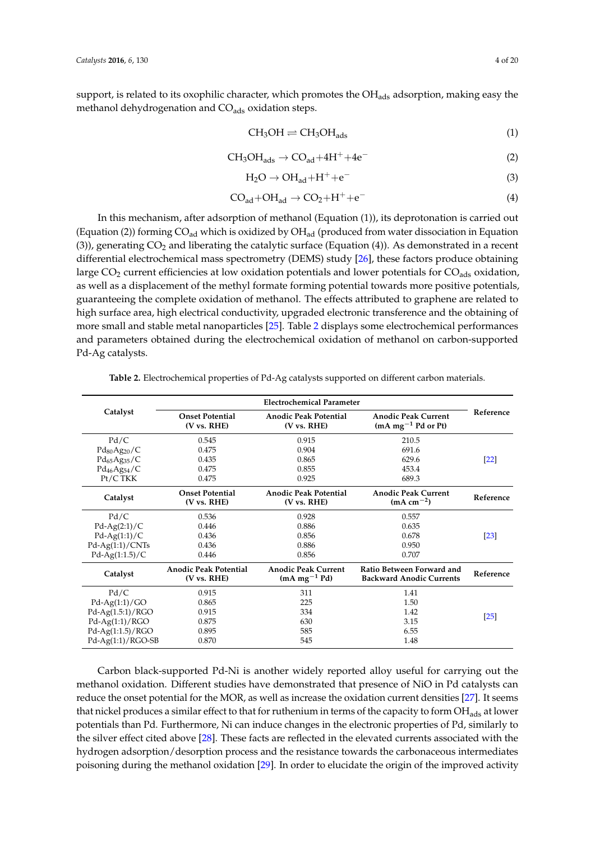support, is related to its oxophilic character, which promotes the  $OH<sub>ads</sub>$  adsorption, making easy the methanol dehydrogenation and  $CO<sub>ads</sub>$  oxidation steps.

$$
CH_3OH \rightleftharpoons CH_3OH_{ads} \tag{1}
$$

$$
CH_3OH_{ads} \rightarrow CO_{ad} + 4H^+ + 4e^-
$$
 (2)

$$
H_2O \to OH_{ad} + H^+ + e^-
$$
 (3)

$$
CO_{ad} + OH_{ad} \rightarrow CO_2 + H^+ + e^-
$$
 (4)

In this mechanism, after adsorption of methanol (Equation (1)), its deprotonation is carried out (Equation (2)) forming  $CO_{ad}$  which is oxidized by  $OH_{ad}$  (produced from water dissociation in Equation (3)), generating  $CO<sub>2</sub>$  and liberating the catalytic surface (Equation (4)). As demonstrated in a recent differential electrochemical mass spectrometry (DEMS) study [\[26\]](#page-16-10), these factors produce obtaining large CO<sub>2</sub> current efficiencies at low oxidation potentials and lower potentials for CO<sub>ads</sub> oxidation, as well as a displacement of the methyl formate forming potential towards more positive potentials, guaranteeing the complete oxidation of methanol. The effects attributed to graphene are related to high surface area, high electrical conductivity, upgraded electronic transference and the obtaining of more small and stable metal nanoparticles [\[25\]](#page-16-9). Table [2](#page-3-0) displays some electrochemical performances and parameters obtained during the electrochemical oxidation of methanol on carbon-supported Pd-Ag catalysts.

<span id="page-3-0"></span>

|                     |                                             | <b>Electrochemical Parameter</b>             |                                                                     |                    |  |
|---------------------|---------------------------------------------|----------------------------------------------|---------------------------------------------------------------------|--------------------|--|
| Catalyst            | <b>Onset Potential</b><br>(V vs. RHE)       | <b>Anodic Peak Potential</b><br>(V vs. RHE)  | <b>Anodic Peak Current</b><br>$(mA mg-1 Pd or Pt)$                  | Reference          |  |
| Pd/C                | 0.545                                       | 0.915                                        | 210.5                                                               |                    |  |
| $Pd_{80}Ag_{20}/C$  | 0.475                                       | 0.904                                        | 691.6                                                               |                    |  |
| $Pd_{65}Ag_{35}/C$  | 0.435                                       | 0.865                                        | 629.6                                                               | [22]               |  |
| $Pd_{46}Ag_{54}/C$  | 0.475                                       | 0.855                                        | 453.4                                                               |                    |  |
| Pt/CTKK             | 0.475                                       | 0.925                                        | 689.3                                                               |                    |  |
| Catalyst            | <b>Onset Potential</b><br>(V vs. RHE)       | <b>Anodic Peak Potential</b><br>(V vs. RHE)  | <b>Anodic Peak Current</b><br>$(mA cm^{-2})$                        | Reference          |  |
| Pd/C                | 0.536                                       | 0.928                                        | 0.557                                                               |                    |  |
| $Pd-Ag(2:1)/C$      | 0.446                                       | 0.886                                        | 0.635                                                               |                    |  |
| $Pd-Ag(1:1)/C$      | 0.436                                       | 0.856                                        | 0.678                                                               | $\lceil 23 \rceil$ |  |
| $Pd-Ag(1:1)/CNTs$   | 0.436                                       | 0.886                                        | 0.950                                                               |                    |  |
| $Pd-Ag(1:1.5)/C$    | 0.446                                       | 0.856                                        | 0.707                                                               |                    |  |
| Catalyst            | <b>Anodic Peak Potential</b><br>(V vs. RHE) | <b>Anodic Peak Current</b><br>$(mA mg-1 Pd)$ | <b>Ratio Between Forward and</b><br><b>Backward Anodic Currents</b> | Reference          |  |
| Pd/C                | 0.915                                       | 311                                          | 1.41                                                                |                    |  |
| $Pd-Ag(1:1)/GO$     | 0.865                                       | 225                                          | 1.50                                                                |                    |  |
| $Pd-Ag(1.5:1)/RGO$  | 0.915                                       | 334                                          | 1.42                                                                | $\lceil 25 \rceil$ |  |
| $Pd-Ag(1:1)/RGO$    | 0.875                                       | 630                                          | 3.15                                                                |                    |  |
| $Pd-Ag(1:1.5)/RGO$  | 0.895                                       | 585                                          | 6.55                                                                |                    |  |
| $Pd-Ag(1:1)/RGO-SB$ | 0.870                                       | 545                                          | 1.48                                                                |                    |  |

**Table 2.** Electrochemical properties of Pd-Ag catalysts supported on different carbon materials.

Carbon black-supported Pd-Ni is another widely reported alloy useful for carrying out the methanol oxidation. Different studies have demonstrated that presence of NiO in Pd catalysts can reduce the onset potential for the MOR, as well as increase the oxidation current densities [\[27\]](#page-16-11). It seems that nickel produces a similar effect to that for ruthenium in terms of the capacity to form  $OH_{ads}$  at lower potentials than Pd. Furthermore, Ni can induce changes in the electronic properties of Pd, similarly to the silver effect cited above [\[28\]](#page-16-12). These facts are reflected in the elevated currents associated with the hydrogen adsorption/desorption process and the resistance towards the carbonaceous intermediates poisoning during the methanol oxidation [\[29\]](#page-16-13). In order to elucidate the origin of the improved activity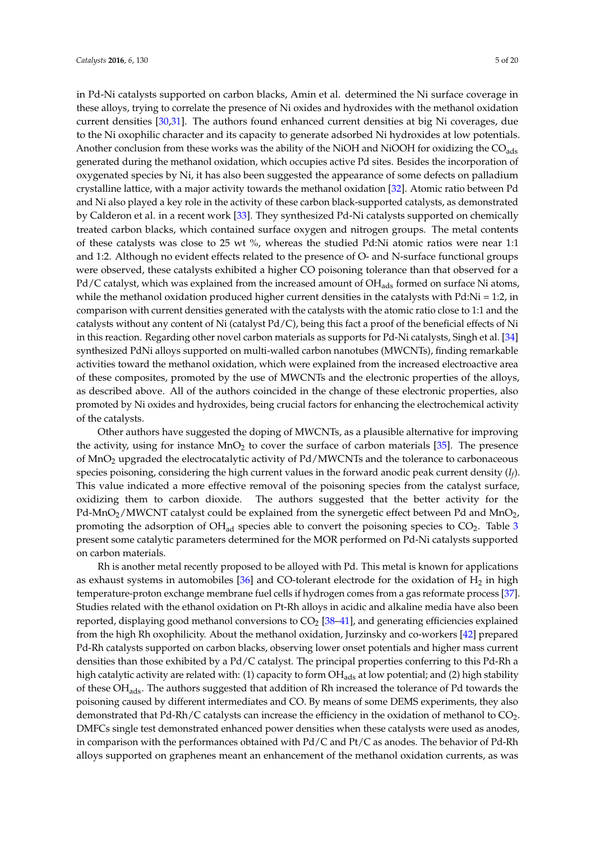in Pd-Ni catalysts supported on carbon blacks, Amin et al. determined the Ni surface coverage in these alloys, trying to correlate the presence of Ni oxides and hydroxides with the methanol oxidation current densities [\[30](#page-16-14)[,31\]](#page-16-15). The authors found enhanced current densities at big Ni coverages, due to the Ni oxophilic character and its capacity to generate adsorbed Ni hydroxides at low potentials. Another conclusion from these works was the ability of the NiOH and NiOOH for oxidizing the CO<sub>ads</sub> generated during the methanol oxidation, which occupies active Pd sites. Besides the incorporation of oxygenated species by Ni, it has also been suggested the appearance of some defects on palladium crystalline lattice, with a major activity towards the methanol oxidation [\[32\]](#page-16-16). Atomic ratio between Pd and Ni also played a key role in the activity of these carbon black-supported catalysts, as demonstrated by Calderon et al. in a recent work [\[33\]](#page-16-17). They synthesized Pd-Ni catalysts supported on chemically treated carbon blacks, which contained surface oxygen and nitrogen groups. The metal contents of these catalysts was close to 25 wt  $\%$ , whereas the studied Pd:Ni atomic ratios were near 1:1 and 1:2. Although no evident effects related to the presence of O- and N-surface functional groups were observed, these catalysts exhibited a higher CO poisoning tolerance than that observed for a Pd/C catalyst, which was explained from the increased amount of OH<sub>ads</sub> formed on surface Ni atoms, while the methanol oxidation produced higher current densities in the catalysts with Pd:Ni = 1:2, in comparison with current densities generated with the catalysts with the atomic ratio close to 1:1 and the catalysts without any content of Ni (catalyst Pd/C), being this fact a proof of the beneficial effects of Ni in this reaction. Regarding other novel carbon materials as supports for Pd-Ni catalysts, Singh et al. [\[34\]](#page-17-0) synthesized PdNi alloys supported on multi-walled carbon nanotubes (MWCNTs), finding remarkable activities toward the methanol oxidation, which were explained from the increased electroactive area of these composites, promoted by the use of MWCNTs and the electronic properties of the alloys, as described above. All of the authors coincided in the change of these electronic properties, also promoted by Ni oxides and hydroxides, being crucial factors for enhancing the electrochemical activity of the catalysts.

Other authors have suggested the doping of MWCNTs, as a plausible alternative for improving the activity, using for instance  $MnO<sub>2</sub>$  to cover the surface of carbon materials [\[35\]](#page-17-1). The presence of MnO<sup>2</sup> upgraded the electrocatalytic activity of Pd/MWCNTs and the tolerance to carbonaceous species poisoning, considering the high current values in the forward anodic peak current density (*I<sup>f</sup>* ). This value indicated a more effective removal of the poisoning species from the catalyst surface, oxidizing them to carbon dioxide. The authors suggested that the better activity for the Pd-MnO<sub>2</sub>/MWCNT catalyst could be explained from the synergetic effect between Pd and MnO<sub>2</sub>, promoting the adsorption of  $OH_{ad}$  species able to convert the poisoning species to  $CO<sub>2</sub>$ . Table [3](#page-5-0) present some catalytic parameters determined for the MOR performed on Pd-Ni catalysts supported on carbon materials.

Rh is another metal recently proposed to be alloyed with Pd. This metal is known for applications as exhaust systems in automobiles [\[36\]](#page-17-2) and CO-tolerant electrode for the oxidation of  $H_2$  in high temperature-proton exchange membrane fuel cells if hydrogen comes from a gas reformate process [\[37\]](#page-17-3). Studies related with the ethanol oxidation on Pt-Rh alloys in acidic and alkaline media have also been reported, displaying good methanol conversions to  $CO<sub>2</sub>$  [\[38](#page-17-4)[–41\]](#page-17-5), and generating efficiencies explained from the high Rh oxophilicity. About the methanol oxidation, Jurzinsky and co-workers [\[42\]](#page-17-6) prepared Pd-Rh catalysts supported on carbon blacks, observing lower onset potentials and higher mass current densities than those exhibited by a Pd/C catalyst. The principal properties conferring to this Pd-Rh a high catalytic activity are related with: (1) capacity to form  $OH<sub>ads</sub>$  at low potential; and (2) high stability of these OH<sub>ads</sub>. The authors suggested that addition of Rh increased the tolerance of Pd towards the poisoning caused by different intermediates and CO. By means of some DEMS experiments, they also demonstrated that Pd-Rh/C catalysts can increase the efficiency in the oxidation of methanol to CO<sub>2</sub>. DMFCs single test demonstrated enhanced power densities when these catalysts were used as anodes, in comparison with the performances obtained with Pd/C and Pt/C as anodes. The behavior of Pd-Rh alloys supported on graphenes meant an enhancement of the methanol oxidation currents, as was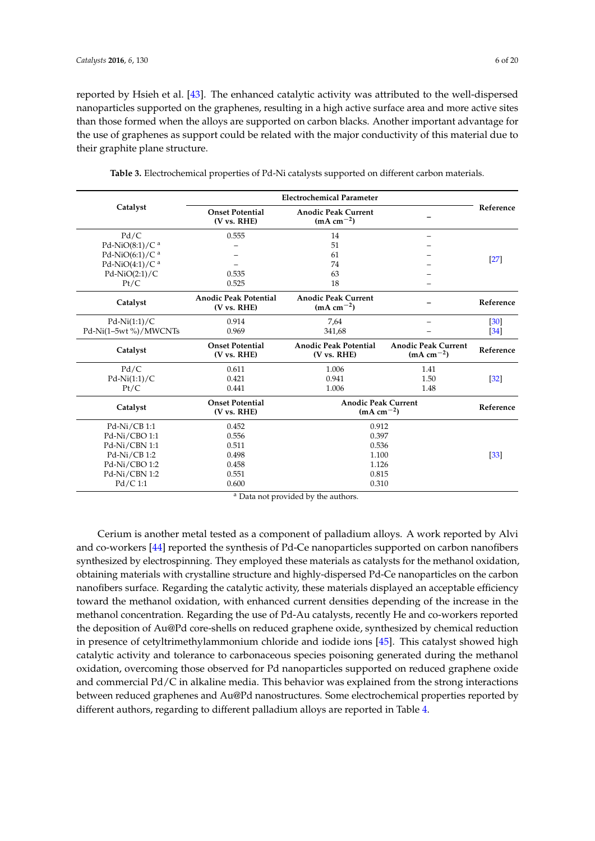reported by Hsieh et al. [\[43\]](#page-17-7). The enhanced catalytic activity was attributed to the well-dispersed nanoparticles supported on the graphenes, resulting in a high active surface area and more active sites than those formed when the alloys are supported on carbon blacks. Another important advantage for the use of graphenes as support could be related with the major conductivity of this material due to their graphite plane structure.

<span id="page-5-0"></span>

|                               |                                             | <b>Electrochemical Parameter</b>             |                                           |                   |
|-------------------------------|---------------------------------------------|----------------------------------------------|-------------------------------------------|-------------------|
| Catalyst                      | <b>Onset Potential</b><br>(V vs. RHE)       | <b>Anodic Peak Current</b><br>$(mA cm-2)$    |                                           | Reference         |
| Pd/C                          | 0.555                                       | 14                                           |                                           |                   |
| Pd-NiO $(8:1)/C$ <sup>a</sup> |                                             | 51                                           |                                           |                   |
| Pd-NiO(6:1)/C <sup>a</sup>    |                                             | 61                                           |                                           |                   |
| Pd-NiO(4:1)/C <sup>a</sup>    |                                             | 74                                           |                                           | $[27]$            |
| $Pd-NiO(2:1)/C$               | 0.535                                       | 63                                           |                                           |                   |
| Pt/C                          | 0.525                                       | 18                                           |                                           |                   |
| Catalyst                      | <b>Anodic Peak Potential</b><br>(V vs. RHE) | <b>Anodic Peak Current</b><br>$(mA cm-2)$    |                                           | Reference         |
| $Pd-Ni(1:1)/C$                | 0.914                                       | 7,64                                         |                                           | $\left[30\right]$ |
| Pd-Ni(1-5wt %)/MWCNTs         | 0.969                                       | 341,68                                       |                                           | [34]              |
| Catalyst                      | <b>Onset Potential</b><br>(V vs. RHE)       | <b>Anodic Peak Potential</b><br>(V vs. RHE)  | <b>Anodic Peak Current</b><br>$(mA cm-2)$ | Reference         |
| Pd/C                          | 0.611                                       | 1.006                                        | 1.41                                      |                   |
| $Pd-Ni(1:1)/C$                | 0.421                                       | 0.941                                        | 1.50                                      | $[32]$            |
| Pt/C                          | 0.441                                       | 1.006                                        | 1.48                                      |                   |
| Catalyst                      | <b>Onset Potential</b><br>(V vs. RHE)       | <b>Anodic Peak Current</b><br>$(mA cm^{-2})$ |                                           | Reference         |
| $Pd-Ni/CB1:1$                 | 0.452                                       | 0.912                                        |                                           |                   |
| Pd-Ni/CBO 1:1                 | 0.556                                       | 0.397                                        |                                           |                   |
| Pd-Ni/CBN 1:1                 | 0.511                                       | 0.536                                        |                                           |                   |
| $Pd-Ni/CB1:2$                 | 0.498                                       | 1.100                                        |                                           | $[33]$            |
| Pd-Ni/CBO 1:2                 | 0.458                                       | 1.126                                        |                                           |                   |
| Pd-Ni/CBN 1:2                 |                                             |                                              |                                           |                   |
|                               | 0.551                                       | 0.815                                        |                                           |                   |

**Table 3.** Electrochemical properties of Pd-Ni catalysts supported on different carbon materials.

<sup>a</sup> Data not provided by the authors.

Cerium is another metal tested as a component of palladium alloys. A work reported by Alvi and co-workers [\[44\]](#page-17-8) reported the synthesis of Pd-Ce nanoparticles supported on carbon nanofibers synthesized by electrospinning. They employed these materials as catalysts for the methanol oxidation, obtaining materials with crystalline structure and highly-dispersed Pd-Ce nanoparticles on the carbon nanofibers surface. Regarding the catalytic activity, these materials displayed an acceptable efficiency toward the methanol oxidation, with enhanced current densities depending of the increase in the methanol concentration. Regarding the use of Pd-Au catalysts, recently He and co-workers reported the deposition of Au@Pd core-shells on reduced graphene oxide, synthesized by chemical reduction in presence of cetyltrimethylammonium chloride and iodide ions [\[45\]](#page-17-9). This catalyst showed high catalytic activity and tolerance to carbonaceous species poisoning generated during the methanol oxidation, overcoming those observed for Pd nanoparticles supported on reduced graphene oxide and commercial Pd/C in alkaline media. This behavior was explained from the strong interactions between reduced graphenes and Au@Pd nanostructures. Some electrochemical properties reported by different authors, regarding to different palladium alloys are reported in Table [4.](#page-6-0)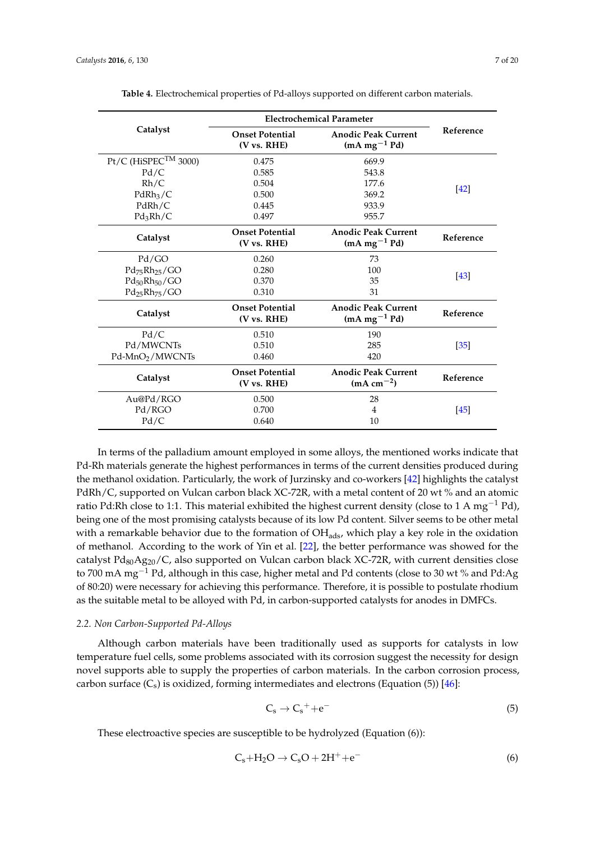<span id="page-6-0"></span>

|                                    | <b>Electrochemical Parameter</b>      |                                              |                   |  |
|------------------------------------|---------------------------------------|----------------------------------------------|-------------------|--|
| Catalyst                           | <b>Onset Potential</b><br>(V vs. RHE) | <b>Anodic Peak Current</b><br>$(mA mg-1 Pd)$ | Reference         |  |
| $Pt/C$ (HiSPEC <sup>TM</sup> 3000) | 0.475                                 | 669.9                                        |                   |  |
| Pd/C                               | 0.585                                 | 543.8                                        |                   |  |
| Rh/C                               | 0.504                                 | 177.6                                        |                   |  |
| PdRh <sub>3</sub> /C               | 0.500                                 | 369.2                                        | [42]              |  |
| PdRh/C                             | 0.445                                 | 933.9                                        |                   |  |
| $Pd_3Rh/C$                         | 0.497                                 | 955.7                                        |                   |  |
| Catalyst                           | <b>Onset Potential</b><br>(V vs. RHE) | <b>Anodic Peak Current</b><br>$(mA mg-1 Pd)$ | Reference         |  |
| Pd/GO                              | 0.260                                 | 73                                           |                   |  |
| $Pd_{75}Rh_{25}/GO$                | 0.280                                 | 100                                          |                   |  |
| $Pd_{50}Rh_{50}/GO$                | 0.370                                 | 35                                           | $[43]$            |  |
| $Pd_{25}Rh_{75}/GO$                | 0.310                                 | 31                                           |                   |  |
| Catalyst                           | <b>Onset Potential</b><br>(V vs. RHE) | <b>Anodic Peak Current</b><br>$(mA mg-1 Pd)$ | Reference         |  |
| Pd/C                               | 0.510                                 | 190                                          |                   |  |
| Pd/MWCNTs                          | 0.510                                 | 285                                          | $\left[35\right]$ |  |
| Pd-MnO <sub>2</sub> /MWCNTs        | 0.460                                 | 420                                          |                   |  |
| Catalyst                           | <b>Onset Potential</b><br>(V vs. RHE) | <b>Anodic Peak Current</b><br>$(mA cm^{-2})$ | Reference         |  |
| Au@Pd/RGO                          | 0.500                                 | 28                                           |                   |  |
| Pd/RGO                             | 0.700                                 | $\overline{4}$                               | [45]              |  |
| Pd/C                               | 0.640                                 | 10                                           |                   |  |

**Table 4.** Electrochemical properties of Pd-alloys supported on different carbon materials.

In terms of the palladium amount employed in some alloys, the mentioned works indicate that Pd-Rh materials generate the highest performances in terms of the current densities produced during the methanol oxidation. Particularly, the work of Jurzinsky and co-workers [\[42\]](#page-17-6) highlights the catalyst PdRh/C, supported on Vulcan carbon black XC-72R, with a metal content of 20 wt % and an atomic ratio Pd:Rh close to 1:1. This material exhibited the highest current density (close to 1 A mg<sup>-1</sup> Pd), being one of the most promising catalysts because of its low Pd content. Silver seems to be other metal with a remarkable behavior due to the formation of  $OH<sub>ads</sub>$ , which play a key role in the oxidation of methanol. According to the work of Yin et al. [\[22\]](#page-16-6), the better performance was showed for the catalyst  $Pd_{80}Ag_{20}/C$ , also supported on Vulcan carbon black XC-72R, with current densities close to 700 mA mg−<sup>1</sup> Pd, although in this case, higher metal and Pd contents (close to 30 wt % and Pd:Ag of 80:20) were necessary for achieving this performance. Therefore, it is possible to postulate rhodium as the suitable metal to be alloyed with Pd, in carbon-supported catalysts for anodes in DMFCs.

### *2.2. Non Carbon-Supported Pd-Alloys*

Although carbon materials have been traditionally used as supports for catalysts in low temperature fuel cells, some problems associated with its corrosion suggest the necessity for design novel supports able to supply the properties of carbon materials. In the carbon corrosion process, carbon surface  $(C_s)$  is oxidized, forming intermediates and electrons (Equation (5)) [\[46\]](#page-17-10):

$$
C_s \to C_s^+ + e^- \tag{5}
$$

These electroactive species are susceptible to be hydrolyzed (Equation (6)):

$$
C_s + H_2O \rightarrow C_sO + 2H^+ + e^-
$$
 (6)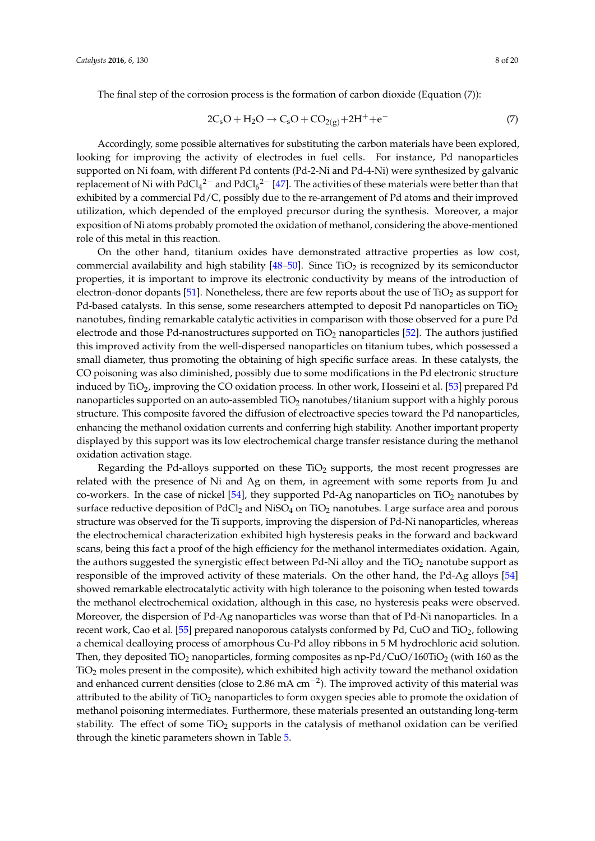$$
2C_sO + H_2O \rightarrow C_sO + CO_{2(g)} + 2H^+ + e^-
$$
 (7)

Accordingly, some possible alternatives for substituting the carbon materials have been explored, looking for improving the activity of electrodes in fuel cells. For instance, Pd nanoparticles supported on Ni foam, with different Pd contents (Pd-2-Ni and Pd-4-Ni) were synthesized by galvanic replacement of Ni with PdCl<sub>4</sub><sup>2-</sup> and PdCl<sub>6</sub><sup>2-</sup> [\[47\]](#page-17-11). The activities of these materials were better than that exhibited by a commercial Pd/C, possibly due to the re-arrangement of Pd atoms and their improved utilization, which depended of the employed precursor during the synthesis. Moreover, a major exposition of Ni atoms probably promoted the oxidation of methanol, considering the above-mentioned role of this metal in this reaction.

On the other hand, titanium oxides have demonstrated attractive properties as low cost, commercial availability and high stability  $[48–50]$  $[48–50]$ . Since TiO<sub>2</sub> is recognized by its semiconductor properties, it is important to improve its electronic conductivity by means of the introduction of electron-donor dopants [\[51\]](#page-17-14). Nonetheless, there are few reports about the use of  $TiO<sub>2</sub>$  as support for Pd-based catalysts. In this sense, some researchers attempted to deposit Pd nanoparticles on  $TiO<sub>2</sub>$ nanotubes, finding remarkable catalytic activities in comparison with those observed for a pure Pd electrode and those Pd-nanostructures supported on  $TiO<sub>2</sub>$  nanoparticles [\[52\]](#page-17-15). The authors justified this improved activity from the well-dispersed nanoparticles on titanium tubes, which possessed a small diameter, thus promoting the obtaining of high specific surface areas. In these catalysts, the CO poisoning was also diminished, possibly due to some modifications in the Pd electronic structure induced by TiO<sub>2</sub>, improving the CO oxidation process. In other work, Hosseini et al. [\[53\]](#page-17-16) prepared Pd nanoparticles supported on an auto-assembled  $TiO<sub>2</sub>$  nanotubes/titanium support with a highly porous structure. This composite favored the diffusion of electroactive species toward the Pd nanoparticles, enhancing the methanol oxidation currents and conferring high stability. Another important property displayed by this support was its low electrochemical charge transfer resistance during the methanol oxidation activation stage.

Regarding the Pd-alloys supported on these  $TiO<sub>2</sub>$  supports, the most recent progresses are related with the presence of Ni and Ag on them, in agreement with some reports from Ju and co-workers. In the case of nickel  $[54]$ , they supported Pd-Ag nanoparticles on TiO<sub>2</sub> nanotubes by surface reductive deposition of  $PdCl<sub>2</sub>$  and  $NiSO<sub>4</sub>$  on  $TiO<sub>2</sub>$  nanotubes. Large surface area and porous structure was observed for the Ti supports, improving the dispersion of Pd-Ni nanoparticles, whereas the electrochemical characterization exhibited high hysteresis peaks in the forward and backward scans, being this fact a proof of the high efficiency for the methanol intermediates oxidation. Again, the authors suggested the synergistic effect between Pd-Ni alloy and the  $TiO<sub>2</sub>$  nanotube support as responsible of the improved activity of these materials. On the other hand, the Pd-Ag alloys [\[54\]](#page-17-17) showed remarkable electrocatalytic activity with high tolerance to the poisoning when tested towards the methanol electrochemical oxidation, although in this case, no hysteresis peaks were observed. Moreover, the dispersion of Pd-Ag nanoparticles was worse than that of Pd-Ni nanoparticles. In a recent work, Cao et al. [\[55\]](#page-18-0) prepared nanoporous catalysts conformed by Pd, CuO and  $TiO<sub>2</sub>$ , following a chemical dealloying process of amorphous Cu-Pd alloy ribbons in 5 M hydrochloric acid solution. Then, they deposited TiO<sub>2</sub> nanoparticles, forming composites as  $np-Pd/CuO/160TiO<sub>2</sub>$  (with 160 as the TiO<sup>2</sup> moles present in the composite), which exhibited high activity toward the methanol oxidation and enhanced current densities (close to 2.86 mA cm<sup>-2</sup>). The improved activity of this material was attributed to the ability of TiO<sub>2</sub> nanoparticles to form oxygen species able to promote the oxidation of methanol poisoning intermediates. Furthermore, these materials presented an outstanding long-term stability. The effect of some  $TiO<sub>2</sub>$  supports in the catalysis of methanol oxidation can be verified through the kinetic parameters shown in Table [5.](#page-8-0)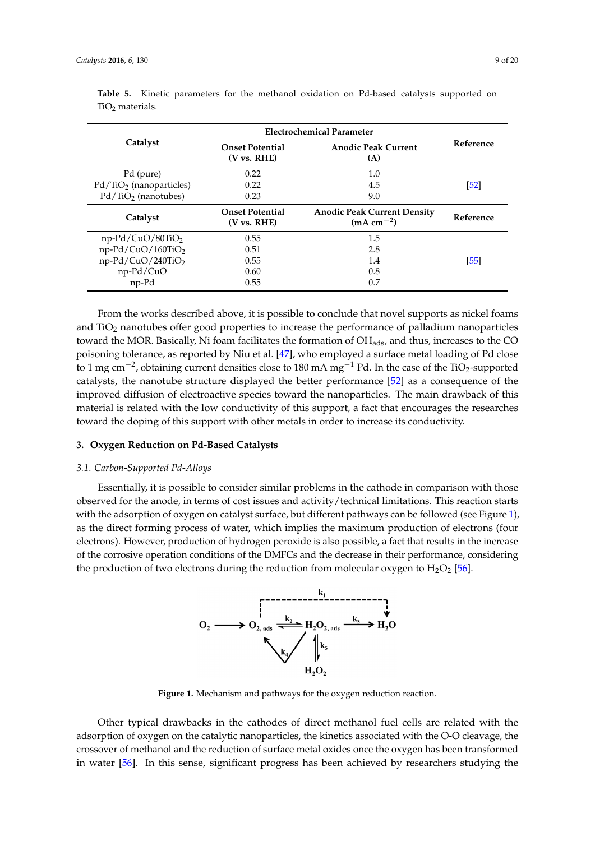|                           | Electrochemical Parameter                                                  |                                                   |           |
|---------------------------|----------------------------------------------------------------------------|---------------------------------------------------|-----------|
| Catalyst                  | <b>Anodic Peak Current</b><br><b>Onset Potential</b><br>(V vs. RHE)<br>(A) |                                                   | Reference |
| Pd (pure)                 | 0.22                                                                       | 1.0                                               |           |
| $Pd/TiO2$ (nanoparticles) | 0.22                                                                       | 4.5                                               | [52]      |
| $Pd/TiO2$ (nanotubes)     | 0.23                                                                       | 9.0                                               |           |
| Catalyst                  | <b>Onset Potential</b><br>$(V \text{ vs. RHE})$                            | <b>Anodic Peak Current Density</b><br>$(mA cm-2)$ | Reference |
| $np-Pd/CuO/80TiO2$        | 0.55                                                                       | 1.5                                               |           |
| np-Pd/CuO/160TiO2         | 0.51                                                                       | 2.8                                               |           |
| $np-Pd/CuO/240TiO2$       | 0.55                                                                       | 1.4                                               | [55]      |
| np-Pd/CuO                 | 0.60                                                                       | 0.8                                               |           |
| np-Pd                     | 0.55                                                                       | 0.7                                               |           |

<span id="page-8-0"></span>**Table 5.** Kinetic parameters for the methanol oxidation on Pd-based catalysts supported on  $TiO<sub>2</sub>$  materials.

From the works described above, it is possible to conclude that novel supports as nickel foams and TiO<sub>2</sub> nanotubes offer good properties to increase the performance of palladium nanoparticles toward the MOR. Basically, Ni foam facilitates the formation of  $OH<sub>ads</sub>$ , and thus, increases to the CO poisoning tolerance, as reported by Niu et al. [\[47\]](#page-17-11), who employed a surface metal loading of Pd close to 1 mg cm<sup>-2</sup>, obtaining current densities close to 180 mA mg<sup>-1</sup> Pd. In the case of the TiO<sub>2</sub>-supported catalysts, the nanotube structure displayed the better performance  $[52]$  as a consequence of the entaryon, are nanotable or detroactive suppray on the botter performance [04] as a condequence of the improved diffusion of electroactive species toward the nanoparticles. The main drawback of this material is related with the low conductivity of this support, a fact that encourages the researches material is related with the low conductivity of this support, a fact that encourages the researches  $\tt$  toward the doping of this support with other metals in order to increase its conductivity.

## **3. Oxygen Reduction on Pd-Based Catalysts** *3.1. Carbon‐Supported Pd‐Alloys*

### 3.1. Carbon-Supported Pd-Alloys

<span id="page-8-1"></span>Essentially, it is possible to consider similar problems in the cathode in comparison with those observed for the anode, in terms of cost issues and activity/technical limitations. This reaction starts with the adsorption of oxygen on catalyst surface, but different pathways can be followed (see Figure 1), as the direct forming process of water, which implies the maximum production of electrons (four electrons). However, production of hydrogen peroxide is also possible, a fact that results in the increase of the corrosive operation conditions of the DMFCs and the decrease in their performance, considering the production of two electrons during the reduction from molecular oxygen to  $H_2O_2$  [\[56\]](#page-18-1).



**Figure 1.** Mechanism and pathways for the oxygen reduction reaction. **Figure 1.** Mechanism and pathways for the oxygen reduction reaction.

Other typical drawbacks in the cathodes of direct methanol fuel cells are related with the Other typical drawbacks in the cathodes of direct methanol fuel cells are related with the adsorption of oxygen on the catalytic nanoparticles, the kinetics associated with the O‐O cleavage, adsorption of oxygen on the catalytic nanoparticles, the kinetics associated with the O-O cleavage, the crossover of methanol and the reduction of surface metal oxides once the oxygen has been transformed in water [56]. In this sense, significant progress has been achieved by researchers studying the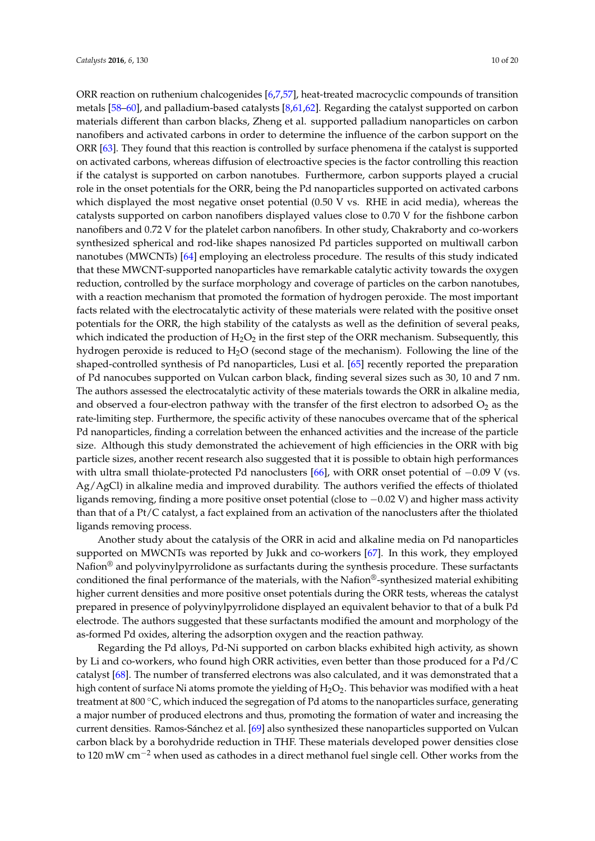ORR reaction on ruthenium chalcogenides [\[6](#page-15-5)[,7,](#page-15-6)[57\]](#page-18-2), heat-treated macrocyclic compounds of transition metals [\[58](#page-18-3)[–60\]](#page-18-4), and palladium-based catalysts [\[8,](#page-15-7)[61,](#page-18-5)[62\]](#page-18-6). Regarding the catalyst supported on carbon materials different than carbon blacks, Zheng et al. supported palladium nanoparticles on carbon nanofibers and activated carbons in order to determine the influence of the carbon support on the ORR [\[63\]](#page-18-7). They found that this reaction is controlled by surface phenomena if the catalyst is supported on activated carbons, whereas diffusion of electroactive species is the factor controlling this reaction if the catalyst is supported on carbon nanotubes. Furthermore, carbon supports played a crucial role in the onset potentials for the ORR, being the Pd nanoparticles supported on activated carbons which displayed the most negative onset potential (0.50 V vs. RHE in acid media), whereas the catalysts supported on carbon nanofibers displayed values close to 0.70 V for the fishbone carbon nanofibers and 0.72 V for the platelet carbon nanofibers. In other study, Chakraborty and co-workers synthesized spherical and rod-like shapes nanosized Pd particles supported on multiwall carbon nanotubes (MWCNTs) [\[64\]](#page-18-8) employing an electroless procedure. The results of this study indicated that these MWCNT-supported nanoparticles have remarkable catalytic activity towards the oxygen reduction, controlled by the surface morphology and coverage of particles on the carbon nanotubes, with a reaction mechanism that promoted the formation of hydrogen peroxide. The most important facts related with the electrocatalytic activity of these materials were related with the positive onset potentials for the ORR, the high stability of the catalysts as well as the definition of several peaks, which indicated the production of  $H_2O_2$  in the first step of the ORR mechanism. Subsequently, this hydrogen peroxide is reduced to  $H_2O$  (second stage of the mechanism). Following the line of the shaped-controlled synthesis of Pd nanoparticles, Lusi et al. [\[65\]](#page-18-9) recently reported the preparation of Pd nanocubes supported on Vulcan carbon black, finding several sizes such as 30, 10 and 7 nm. The authors assessed the electrocatalytic activity of these materials towards the ORR in alkaline media, and observed a four-electron pathway with the transfer of the first electron to adsorbed  $O_2$  as the rate-limiting step. Furthermore, the specific activity of these nanocubes overcame that of the spherical Pd nanoparticles, finding a correlation between the enhanced activities and the increase of the particle size. Although this study demonstrated the achievement of high efficiencies in the ORR with big particle sizes, another recent research also suggested that it is possible to obtain high performances with ultra small thiolate-protected Pd nanoclusters [\[66\]](#page-18-10), with ORR onset potential of −0.09 V (vs. Ag/AgCl) in alkaline media and improved durability. The authors verified the effects of thiolated ligands removing, finding a more positive onset potential (close to −0.02 V) and higher mass activity than that of a Pt/C catalyst, a fact explained from an activation of the nanoclusters after the thiolated ligands removing process.

Another study about the catalysis of the ORR in acid and alkaline media on Pd nanoparticles supported on MWCNTs was reported by Jukk and co-workers [\[67\]](#page-18-11). In this work, they employed Nafion® and polyvinylpyrrolidone as surfactants during the synthesis procedure. These surfactants conditioned the final performance of the materials, with the Nafion®-synthesized material exhibiting higher current densities and more positive onset potentials during the ORR tests, whereas the catalyst prepared in presence of polyvinylpyrrolidone displayed an equivalent behavior to that of a bulk Pd electrode. The authors suggested that these surfactants modified the amount and morphology of the as-formed Pd oxides, altering the adsorption oxygen and the reaction pathway.

Regarding the Pd alloys, Pd-Ni supported on carbon blacks exhibited high activity, as shown by Li and co-workers, who found high ORR activities, even better than those produced for a Pd/C catalyst [\[68\]](#page-18-12). The number of transferred electrons was also calculated, and it was demonstrated that a high content of surface Ni atoms promote the yielding of  $H_2O_2$ . This behavior was modified with a heat treatment at 800 °C, which induced the segregation of Pd atoms to the nanoparticles surface, generating a major number of produced electrons and thus, promoting the formation of water and increasing the current densities. Ramos-Sánchez et al. [\[69\]](#page-18-13) also synthesized these nanoparticles supported on Vulcan carbon black by a borohydride reduction in THF. These materials developed power densities close to 120 mW  $\text{cm}^{-2}$  when used as cathodes in a direct methanol fuel single cell. Other works from the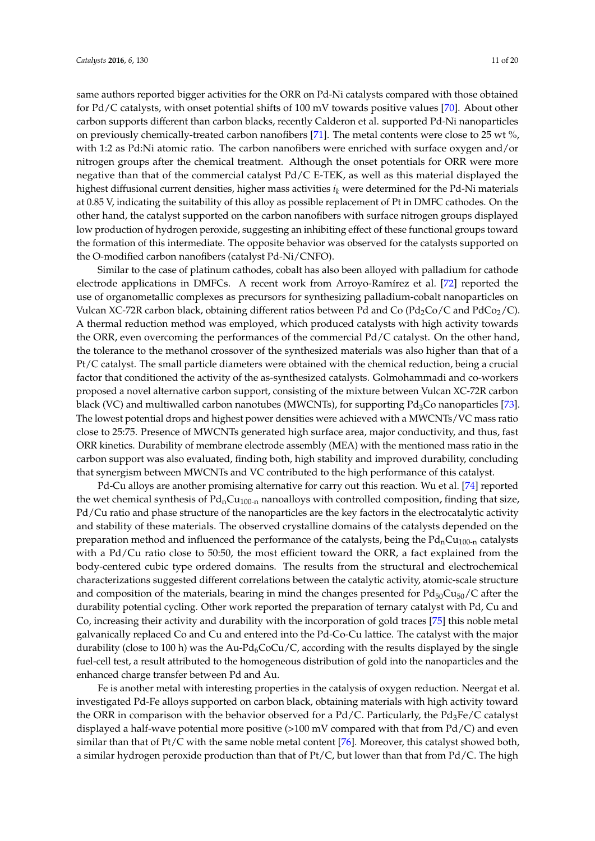same authors reported bigger activities for the ORR on Pd-Ni catalysts compared with those obtained for Pd/C catalysts, with onset potential shifts of 100 mV towards positive values [\[70\]](#page-18-14). About other carbon supports different than carbon blacks, recently Calderon et al. supported Pd-Ni nanoparticles on previously chemically-treated carbon nanofibers [\[71\]](#page-18-15). The metal contents were close to 25 wt %, with 1:2 as Pd:Ni atomic ratio. The carbon nanofibers were enriched with surface oxygen and/or nitrogen groups after the chemical treatment. Although the onset potentials for ORR were more negative than that of the commercial catalyst Pd/C E-TEK, as well as this material displayed the highest diffusional current densities, higher mass activities *i<sup>k</sup>* were determined for the Pd-Ni materials at 0.85 V, indicating the suitability of this alloy as possible replacement of Pt in DMFC cathodes. On the other hand, the catalyst supported on the carbon nanofibers with surface nitrogen groups displayed low production of hydrogen peroxide, suggesting an inhibiting effect of these functional groups toward the formation of this intermediate. The opposite behavior was observed for the catalysts supported on the O-modified carbon nanofibers (catalyst Pd-Ni/CNFO).

Similar to the case of platinum cathodes, cobalt has also been alloyed with palladium for cathode electrode applications in DMFCs. A recent work from Arroyo-Ramírez et al. [\[72\]](#page-18-16) reported the use of organometallic complexes as precursors for synthesizing palladium-cobalt nanoparticles on Vulcan XC-72R carbon black, obtaining different ratios between Pd and Co ( $Pd_2Co/C$  and  $PdCo_2/C$ ). A thermal reduction method was employed, which produced catalysts with high activity towards the ORR, even overcoming the performances of the commercial Pd/C catalyst. On the other hand, the tolerance to the methanol crossover of the synthesized materials was also higher than that of a Pt/C catalyst. The small particle diameters were obtained with the chemical reduction, being a crucial factor that conditioned the activity of the as-synthesized catalysts. Golmohammadi and co-workers proposed a novel alternative carbon support, consisting of the mixture between Vulcan XC-72R carbon black (VC) and multiwalled carbon nanotubes (MWCNTs), for supporting  $Pd_3C$ o nanoparticles [\[73\]](#page-18-17). The lowest potential drops and highest power densities were achieved with a MWCNTs/VC mass ratio close to 25:75. Presence of MWCNTs generated high surface area, major conductivity, and thus, fast ORR kinetics. Durability of membrane electrode assembly (MEA) with the mentioned mass ratio in the carbon support was also evaluated, finding both, high stability and improved durability, concluding that synergism between MWCNTs and VC contributed to the high performance of this catalyst.

Pd-Cu alloys are another promising alternative for carry out this reaction. Wu et al. [\[74\]](#page-18-18) reported the wet chemical synthesis of  $Pd<sub>n</sub>Cu<sub>100-n</sub>$  nanoalloys with controlled composition, finding that size, Pd/Cu ratio and phase structure of the nanoparticles are the key factors in the electrocatalytic activity and stability of these materials. The observed crystalline domains of the catalysts depended on the preparation method and influenced the performance of the catalysts, being the  $Pd<sub>n</sub>Cu<sub>100-n</sub>$  catalysts with a Pd/Cu ratio close to 50:50, the most efficient toward the ORR, a fact explained from the body-centered cubic type ordered domains. The results from the structural and electrochemical characterizations suggested different correlations between the catalytic activity, atomic-scale structure and composition of the materials, bearing in mind the changes presented for  $Pd_{50}Cu_{50}/C$  after the durability potential cycling. Other work reported the preparation of ternary catalyst with Pd, Cu and Co, increasing their activity and durability with the incorporation of gold traces [\[75\]](#page-18-19) this noble metal galvanically replaced Co and Cu and entered into the Pd-Co-Cu lattice. The catalyst with the major durability (close to 100 h) was the Au-Pd<sub>6</sub>CoCu/C, according with the results displayed by the single fuel-cell test, a result attributed to the homogeneous distribution of gold into the nanoparticles and the enhanced charge transfer between Pd and Au.

Fe is another metal with interesting properties in the catalysis of oxygen reduction. Neergat et al. investigated Pd-Fe alloys supported on carbon black, obtaining materials with high activity toward the ORR in comparison with the behavior observed for a Pd/C. Particularly, the Pd<sub>3</sub>Fe/C catalyst displayed a half-wave potential more positive  $(>100 \text{ mV}$  compared with that from Pd/C) and even similar than that of Pt/C with the same noble metal content [\[76\]](#page-19-0). Moreover, this catalyst showed both, a similar hydrogen peroxide production than that of Pt/C, but lower than that from Pd/C. The high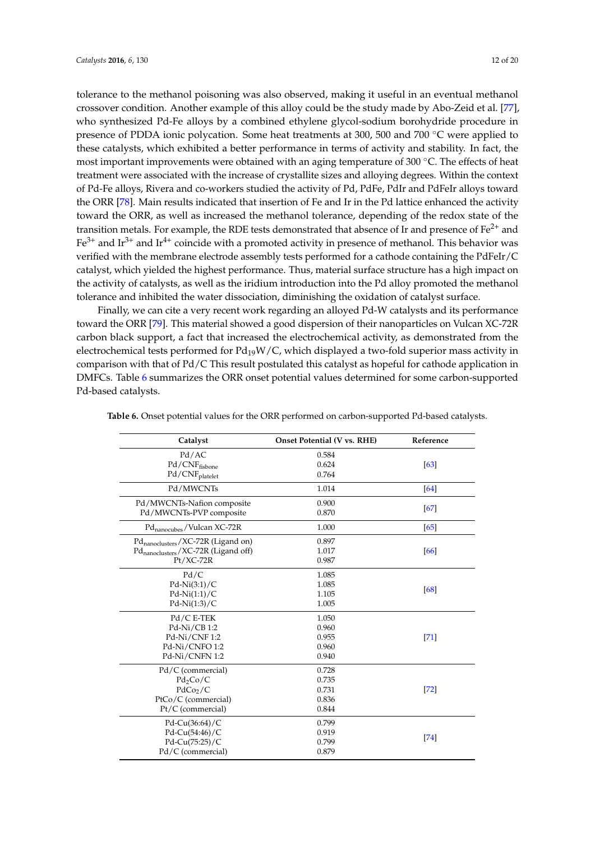tolerance to the methanol poisoning was also observed, making it useful in an eventual methanol crossover condition. Another example of this alloy could be the study made by Abo-Zeid et al. [\[77\]](#page-19-1), who synthesized Pd-Fe alloys by a combined ethylene glycol-sodium borohydride procedure in presence of PDDA ionic polycation. Some heat treatments at 300, 500 and 700 ◦C were applied to these catalysts, which exhibited a better performance in terms of activity and stability. In fact, the most important improvements were obtained with an aging temperature of 300 ◦C. The effects of heat treatment were associated with the increase of crystallite sizes and alloying degrees. Within the context of Pd-Fe alloys, Rivera and co-workers studied the activity of Pd, PdFe, PdIr and PdFeIr alloys toward the ORR [\[78\]](#page-19-2). Main results indicated that insertion of Fe and Ir in the Pd lattice enhanced the activity toward the ORR, as well as increased the methanol tolerance, depending of the redox state of the transition metals. For example, the RDE tests demonstrated that absence of Ir and presence of Fe<sup>2+</sup> and  $Fe<sup>3+</sup>$  and Ir<sup>4+</sup> coincide with a promoted activity in presence of methanol. This behavior was verified with the membrane electrode assembly tests performed for a cathode containing the PdFeIr/C catalyst, which yielded the highest performance. Thus, material surface structure has a high impact on the activity of catalysts, as well as the iridium introduction into the Pd alloy promoted the methanol tolerance and inhibited the water dissociation, diminishing the oxidation of catalyst surface.

Finally, we can cite a very recent work regarding an alloyed Pd-W catalysts and its performance toward the ORR [\[79\]](#page-19-3). This material showed a good dispersion of their nanoparticles on Vulcan XC-72R carbon black support, a fact that increased the electrochemical activity, as demonstrated from the electrochemical tests performed for  $Pd_{19}W/C$ , which displayed a two-fold superior mass activity in comparison with that of Pd/C This result postulated this catalyst as hopeful for cathode application in DMFCs. Table [6](#page-12-0) summarizes the ORR onset potential values determined for some carbon-supported Pd-based catalysts.

| Catalyst                                        | Onset Potential (V vs. RHE) | Reference |
|-------------------------------------------------|-----------------------------|-----------|
| Pd/AC                                           | 0.584                       |           |
| Pd/CNFfisbone                                   | 0.624                       | [63]      |
| $\mathrm{Pd}/\mathrm{CNF}_{\mathrm{platelet}}$  | 0.764                       |           |
| Pd/MWCNTs                                       | 1.014                       | [64]      |
| Pd/MWCNTs-Nafion composite                      | 0.900                       | [67]      |
| Pd/MWCNTs-PVP composite                         | 0.870                       |           |
| Pd <sub>nanocubes</sub> /Vulcan XC-72R          | 1.000                       | [65]      |
| Pd <sub>nanoclusters</sub> /XC-72R (Ligand on)  | 0.897                       |           |
| Pd <sub>nanoclusters</sub> /XC-72R (Ligand off) | 1.017                       | [66]      |
| $Pt/XC-72R$                                     | 0.987                       |           |
| Pd/C                                            | 1.085                       |           |
| $Pd-Ni(3:1)/C$                                  | 1.085                       | [68]      |
| $Pd-Ni(1:1)/C$                                  | 1.105                       |           |
| $Pd-Ni(1:3)/C$                                  | 1.005                       |           |
| Pd/C E-TEK                                      | 1.050                       |           |
| Pd-Ni/CB 1:2                                    | 0.960                       |           |
| Pd-Ni/CNF 1:2                                   | 0.955                       | $[71]$    |
| Pd-Ni/CNFO1:2                                   | 0.960                       |           |
| Pd-Ni/CNFN 1:2                                  | 0.940                       |           |
| Pd/C (commercial)                               | 0.728                       |           |
| $Pd_2Co/C$                                      | 0.735                       |           |
| PdCo <sub>2</sub> /C                            | 0.731                       | $[72]$    |
| PtCo/C (commercial)                             | 0.836                       |           |
| Pt/C (commercial)                               | 0.844                       |           |
| Pd-Cu $(36:64)/C$                               | 0.799                       |           |
| Pd-Cu(54:46)/C                                  | 0.919                       |           |
| Pd-Cu(75:25)/C                                  | 0.799                       | [74]      |
| Pd/C (commercial)                               | 0.879                       |           |

**Table 6.** Onset potential values for the ORR performed on carbon-supported Pd-based catalysts.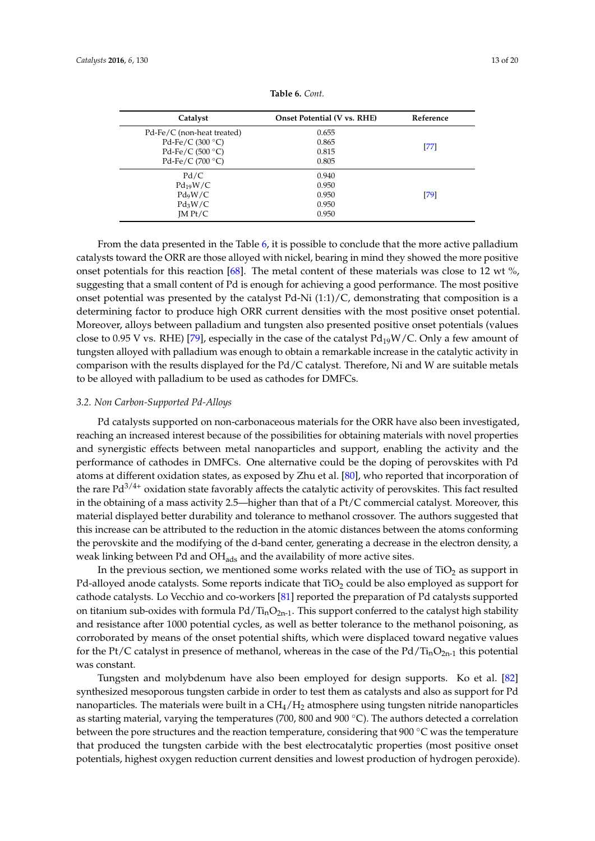<span id="page-12-0"></span>

| Catalyst                   | <b>Onset Potential (V vs. RHE)</b> | Reference |
|----------------------------|------------------------------------|-----------|
| Pd-Fe/C (non-heat treated) | 0.655                              |           |
| Pd-Fe/C $(300 °C)$         | 0.865                              |           |
| Pd-Fe/C $(500 °C)$         | 0.815                              | $[77]$    |
| Pd-Fe/C (700 $\degree$ C)  | 0.805                              |           |
| Pd/C                       | 0.940                              |           |
| $Pd_{19}W/C$               | 0.950                              |           |
| $Pd_9W/C$                  | 0.950                              | [79]      |
| $Pd_3W/C$                  | 0.950                              |           |
| IM Pt/C                    | 0.950                              |           |
|                            |                                    |           |

| <b>Table 6.</b> Cont. |  |  |
|-----------------------|--|--|
|-----------------------|--|--|

From the data presented in the Table [6,](#page-12-0) it is possible to conclude that the more active palladium catalysts toward the ORR are those alloyed with nickel, bearing in mind they showed the more positive onset potentials for this reaction [\[68\]](#page-18-12). The metal content of these materials was close to 12 wt  $\%$ , suggesting that a small content of Pd is enough for achieving a good performance. The most positive onset potential was presented by the catalyst Pd-Ni  $(1:1)/C$ , demonstrating that composition is a determining factor to produce high ORR current densities with the most positive onset potential. Moreover, alloys between palladium and tungsten also presented positive onset potentials (values close to 0.95 V vs. RHE) [\[79\]](#page-19-3), especially in the case of the catalyst  $Pd_{19}W/C$ . Only a few amount of tungsten alloyed with palladium was enough to obtain a remarkable increase in the catalytic activity in comparison with the results displayed for the Pd/C catalyst. Therefore, Ni and W are suitable metals to be alloyed with palladium to be used as cathodes for DMFCs.

#### *3.2. Non Carbon-Supported Pd-Alloys*

Pd catalysts supported on non-carbonaceous materials for the ORR have also been investigated, reaching an increased interest because of the possibilities for obtaining materials with novel properties and synergistic effects between metal nanoparticles and support, enabling the activity and the performance of cathodes in DMFCs. One alternative could be the doping of perovskites with Pd atoms at different oxidation states, as exposed by Zhu et al. [\[80\]](#page-19-4), who reported that incorporation of the rare  $Pd^{3/4+}$  oxidation state favorably affects the catalytic activity of perovskites. This fact resulted in the obtaining of a mass activity 2.5—higher than that of a Pt/C commercial catalyst. Moreover, this material displayed better durability and tolerance to methanol crossover. The authors suggested that this increase can be attributed to the reduction in the atomic distances between the atoms conforming the perovskite and the modifying of the d-band center, generating a decrease in the electron density, a weak linking between Pd and  $OH<sub>ads</sub>$  and the availability of more active sites.

In the previous section, we mentioned some works related with the use of  $TiO<sub>2</sub>$  as support in Pd-alloyed anode catalysts. Some reports indicate that TiO<sub>2</sub> could be also employed as support for cathode catalysts. Lo Vecchio and co-workers [\[81\]](#page-19-5) reported the preparation of Pd catalysts supported on titanium sub-oxides with formula  $Pd/T_{in}O_{2n-1}$ . This support conferred to the catalyst high stability and resistance after 1000 potential cycles, as well as better tolerance to the methanol poisoning, as corroborated by means of the onset potential shifts, which were displaced toward negative values for the Pt/C catalyst in presence of methanol, whereas in the case of the Pd/Ti<sub>n</sub>O<sub>2n-1</sub> this potential was constant.

Tungsten and molybdenum have also been employed for design supports. Ko et al. [\[82\]](#page-19-6) synthesized mesoporous tungsten carbide in order to test them as catalysts and also as support for Pd nanoparticles. The materials were built in a  $CH<sub>4</sub>/H<sub>2</sub>$  atmosphere using tungsten nitride nanoparticles as starting material, varying the temperatures (700, 800 and 900 ◦C). The authors detected a correlation between the pore structures and the reaction temperature, considering that 900 ◦C was the temperature that produced the tungsten carbide with the best electrocatalytic properties (most positive onset potentials, highest oxygen reduction current densities and lowest production of hydrogen peroxide).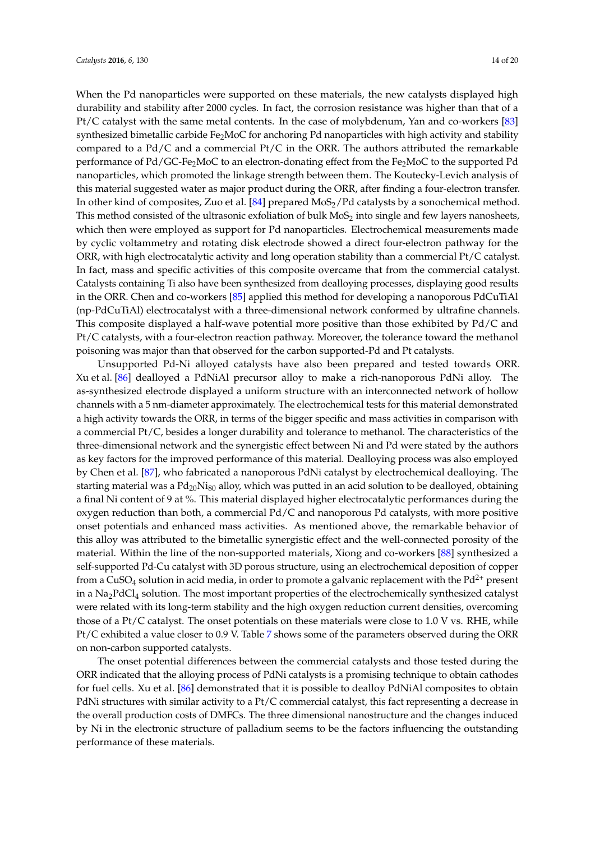When the Pd nanoparticles were supported on these materials, the new catalysts displayed high durability and stability after 2000 cycles. In fact, the corrosion resistance was higher than that of a Pt/C catalyst with the same metal contents. In the case of molybdenum, Yan and co-workers [\[83\]](#page-19-7) synthesized bimetallic carbide Fe<sub>2</sub>MoC for anchoring Pd nanoparticles with high activity and stability compared to a  $Pd/C$  and a commercial  $Pt/C$  in the ORR. The authors attributed the remarkable performance of Pd/GC-Fe2MoC to an electron-donating effect from the Fe2MoC to the supported Pd nanoparticles, which promoted the linkage strength between them. The Koutecky-Levich analysis of this material suggested water as major product during the ORR, after finding a four-electron transfer. In other kind of composites, Zuo et al. [\[84\]](#page-19-8) prepared  $MOS<sub>2</sub>/Pd$  catalysts by a sonochemical method. This method consisted of the ultrasonic exfoliation of bulk  $MoS<sub>2</sub>$  into single and few layers nanosheets, which then were employed as support for Pd nanoparticles. Electrochemical measurements made by cyclic voltammetry and rotating disk electrode showed a direct four-electron pathway for the ORR, with high electrocatalytic activity and long operation stability than a commercial Pt/C catalyst. In fact, mass and specific activities of this composite overcame that from the commercial catalyst. Catalysts containing Ti also have been synthesized from dealloying processes, displaying good results in the ORR. Chen and co-workers [\[85\]](#page-19-9) applied this method for developing a nanoporous PdCuTiAl (np-PdCuTiAl) electrocatalyst with a three-dimensional network conformed by ultrafine channels. This composite displayed a half-wave potential more positive than those exhibited by Pd/C and Pt/C catalysts, with a four-electron reaction pathway. Moreover, the tolerance toward the methanol poisoning was major than that observed for the carbon supported-Pd and Pt catalysts.

Unsupported Pd-Ni alloyed catalysts have also been prepared and tested towards ORR. Xu et al. [\[86\]](#page-19-10) dealloyed a PdNiAl precursor alloy to make a rich-nanoporous PdNi alloy. The as-synthesized electrode displayed a uniform structure with an interconnected network of hollow channels with a 5 nm-diameter approximately. The electrochemical tests for this material demonstrated a high activity towards the ORR, in terms of the bigger specific and mass activities in comparison with a commercial Pt/C, besides a longer durability and tolerance to methanol. The characteristics of the three-dimensional network and the synergistic effect between Ni and Pd were stated by the authors as key factors for the improved performance of this material. Dealloying process was also employed by Chen et al. [\[87\]](#page-19-11), who fabricated a nanoporous PdNi catalyst by electrochemical dealloying. The starting material was a  $Pd_{20}Ni_{80}$  alloy, which was putted in an acid solution to be dealloyed, obtaining a final Ni content of 9 at %. This material displayed higher electrocatalytic performances during the oxygen reduction than both, a commercial Pd/C and nanoporous Pd catalysts, with more positive onset potentials and enhanced mass activities. As mentioned above, the remarkable behavior of this alloy was attributed to the bimetallic synergistic effect and the well-connected porosity of the material. Within the line of the non-supported materials, Xiong and co-workers [\[88\]](#page-19-12) synthesized a self-supported Pd-Cu catalyst with 3D porous structure, using an electrochemical deposition of copper from a CuSO<sub>4</sub> solution in acid media, in order to promote a galvanic replacement with the  $Pd^{2+}$  present in a Na<sub>2</sub>PdCl<sub>4</sub> solution. The most important properties of the electrochemically synthesized catalyst were related with its long-term stability and the high oxygen reduction current densities, overcoming those of a Pt/C catalyst. The onset potentials on these materials were close to 1.0 V vs. RHE, while Pt/C exhibited a value closer to 0.9 V. Table [7](#page-14-0) shows some of the parameters observed during the ORR on non-carbon supported catalysts.

The onset potential differences between the commercial catalysts and those tested during the ORR indicated that the alloying process of PdNi catalysts is a promising technique to obtain cathodes for fuel cells. Xu et al. [\[86\]](#page-19-10) demonstrated that it is possible to dealloy PdNiAl composites to obtain PdNi structures with similar activity to a Pt/C commercial catalyst, this fact representing a decrease in the overall production costs of DMFCs. The three dimensional nanostructure and the changes induced by Ni in the electronic structure of palladium seems to be the factors influencing the outstanding performance of these materials.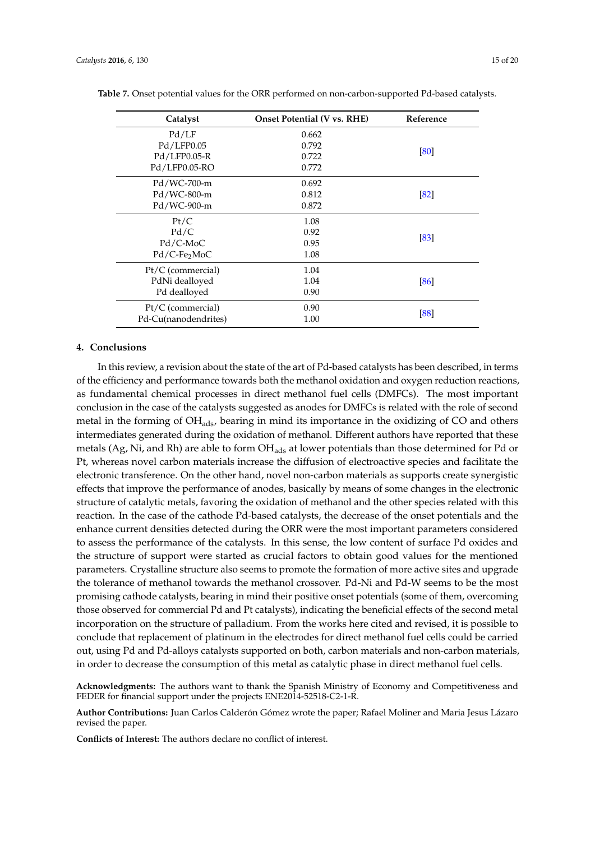| Catalyst                 | <b>Onset Potential (V vs. RHE)</b> | Reference |
|--------------------------|------------------------------------|-----------|
| Pd/LF                    | 0.662                              |           |
| Pd/LFP0.05               | 0.792                              |           |
| Pd/LFP0.05-R             | 0.722                              | [80]      |
| Pd/LFP0.05-RO            | 0.772                              |           |
| Pd/WC-700-m              | 0.692                              |           |
| Pd/WC-800-m              | 0.812                              | [82]      |
| Pd/WC-900-m              | 0.872                              |           |
| Pt/C                     | 1.08                               |           |
| Pd/C                     | 0.92                               |           |
| $Pd/C-MoC$               | 0.95                               | [83]      |
| Pd/C-Fe <sub>2</sub> MoC | 1.08                               |           |
| $Pt/C$ (commercial)      | 1.04                               |           |
| PdNi dealloyed           | 1.04                               | [86]      |
| Pd dealloyed             | 0.90                               |           |
| $Pt/C$ (commercial)      | 0.90                               |           |
| Pd-Cu(nanodendrites)     | 1.00                               | [88]      |

<span id="page-14-0"></span>**Table 7.** Onset potential values for the ORR performed on non-carbon-supported Pd-based catalysts.

### **4. Conclusions**

In this review, a revision about the state of the art of Pd-based catalysts has been described, in terms of the efficiency and performance towards both the methanol oxidation and oxygen reduction reactions, as fundamental chemical processes in direct methanol fuel cells (DMFCs). The most important conclusion in the case of the catalysts suggested as anodes for DMFCs is related with the role of second metal in the forming of  $OH<sub>ads</sub>$ , bearing in mind its importance in the oxidizing of CO and others intermediates generated during the oxidation of methanol. Different authors have reported that these metals (Ag, Ni, and Rh) are able to form OH<sub>ads</sub> at lower potentials than those determined for Pd or Pt, whereas novel carbon materials increase the diffusion of electroactive species and facilitate the electronic transference. On the other hand, novel non-carbon materials as supports create synergistic effects that improve the performance of anodes, basically by means of some changes in the electronic structure of catalytic metals, favoring the oxidation of methanol and the other species related with this reaction. In the case of the cathode Pd-based catalysts, the decrease of the onset potentials and the enhance current densities detected during the ORR were the most important parameters considered to assess the performance of the catalysts. In this sense, the low content of surface Pd oxides and the structure of support were started as crucial factors to obtain good values for the mentioned parameters. Crystalline structure also seems to promote the formation of more active sites and upgrade the tolerance of methanol towards the methanol crossover. Pd-Ni and Pd-W seems to be the most promising cathode catalysts, bearing in mind their positive onset potentials (some of them, overcoming those observed for commercial Pd and Pt catalysts), indicating the beneficial effects of the second metal incorporation on the structure of palladium. From the works here cited and revised, it is possible to conclude that replacement of platinum in the electrodes for direct methanol fuel cells could be carried out, using Pd and Pd-alloys catalysts supported on both, carbon materials and non-carbon materials, in order to decrease the consumption of this metal as catalytic phase in direct methanol fuel cells.

**Acknowledgments:** The authors want to thank the Spanish Ministry of Economy and Competitiveness and FEDER for financial support under the projects ENE2014-52518-C2-1-R.

**Author Contributions:** Juan Carlos Calderón Gómez wrote the paper; Rafael Moliner and Maria Jesus Lázaro revised the paper.

**Conflicts of Interest:** The authors declare no conflict of interest.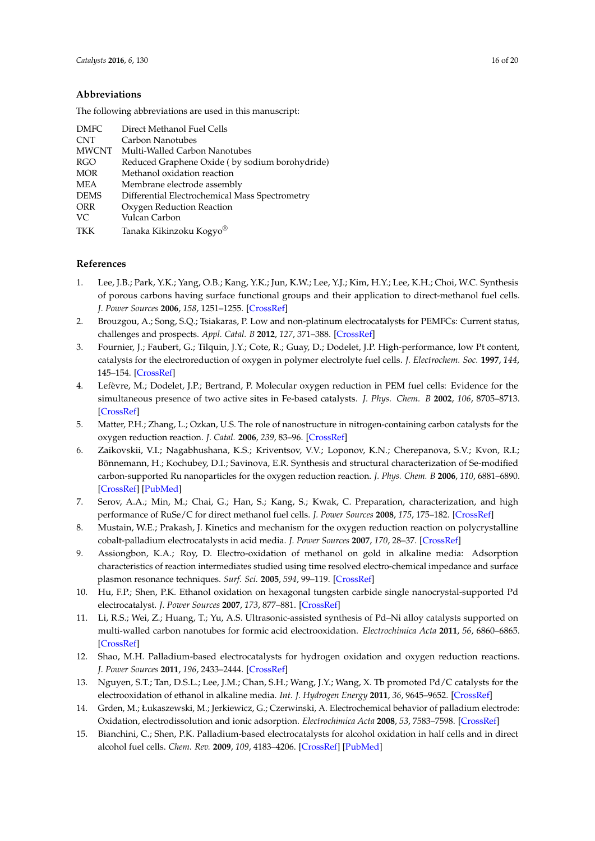### **Abbreviations**

The following abbreviations are used in this manuscript:

| <b>DMFC</b>  | Direct Methanol Fuel Cells                     |
|--------------|------------------------------------------------|
| <b>CNT</b>   | Carbon Nanotubes                               |
| <b>MWCNT</b> | Multi-Walled Carbon Nanotubes                  |
| RGO          | Reduced Graphene Oxide (by sodium borohydride) |
| <b>MOR</b>   | Methanol oxidation reaction                    |
| <b>MEA</b>   | Membrane electrode assembly                    |
| <b>DEMS</b>  | Differential Electrochemical Mass Spectrometry |
| <b>ORR</b>   | Oxygen Reduction Reaction                      |
| VC           | Vulcan Carbon                                  |
| TKK          | Tanaka Kikinzoku Kogyo <sup>®</sup>            |

### **References**

- <span id="page-15-0"></span>1. Lee, J.B.; Park, Y.K.; Yang, O.B.; Kang, Y.K.; Jun, K.W.; Lee, Y.J.; Kim, H.Y.; Lee, K.H.; Choi, W.C. Synthesis of porous carbons having surface functional groups and their application to direct-methanol fuel cells. *J. Power Sources* **2006**, *158*, 1251–1255. [\[CrossRef\]](http://dx.doi.org/10.1016/j.jpowsour.2005.10.085)
- <span id="page-15-1"></span>2. Brouzgou, A.; Song, S.Q.; Tsiakaras, P. Low and non-platinum electrocatalysts for PEMFCs: Current status, challenges and prospects. *Appl. Catal. B* **2012**, *127*, 371–388. [\[CrossRef\]](http://dx.doi.org/10.1016/j.apcatb.2012.08.031)
- <span id="page-15-2"></span>3. Fournier, J.; Faubert, G.; Tilquin, J.Y.; Cote, R.; Guay, D.; Dodelet, J.P. High-performance, low Pt content, catalysts for the electroreduction of oxygen in polymer electrolyte fuel cells. *J. Electrochem. Soc.* **1997**, *144*, 145–154. [\[CrossRef\]](http://dx.doi.org/10.1149/1.1837377)
- <span id="page-15-3"></span>4. Lefèvre, M.; Dodelet, J.P.; Bertrand, P. Molecular oxygen reduction in PEM fuel cells: Evidence for the simultaneous presence of two active sites in Fe-based catalysts. *J. Phys. Chem. B* **2002**, *106*, 8705–8713. [\[CrossRef\]](http://dx.doi.org/10.1021/jp020267f)
- <span id="page-15-4"></span>5. Matter, P.H.; Zhang, L.; Ozkan, U.S. The role of nanostructure in nitrogen-containing carbon catalysts for the oxygen reduction reaction. *J. Catal.* **2006**, *239*, 83–96. [\[CrossRef\]](http://dx.doi.org/10.1016/j.jcat.2006.01.022)
- <span id="page-15-5"></span>6. Zaikovskii, V.I.; Nagabhushana, K.S.; Kriventsov, V.V.; Loponov, K.N.; Cherepanova, S.V.; Kvon, R.I.; Bönnemann, H.; Kochubey, D.I.; Savinova, E.R. Synthesis and structural characterization of Se-modified carbon-supported Ru nanoparticles for the oxygen reduction reaction. *J. Phys. Chem. B* **2006**, *110*, 6881–6890. [\[CrossRef\]](http://dx.doi.org/10.1021/jp056715b) [\[PubMed\]](http://www.ncbi.nlm.nih.gov/pubmed/16570998)
- <span id="page-15-6"></span>7. Serov, A.A.; Min, M.; Chai, G.; Han, S.; Kang, S.; Kwak, C. Preparation, characterization, and high performance of RuSe/C for direct methanol fuel cells. *J. Power Sources* **2008**, *175*, 175–182. [\[CrossRef\]](http://dx.doi.org/10.1016/j.jpowsour.2007.08.089)
- <span id="page-15-7"></span>8. Mustain, W.E.; Prakash, J. Kinetics and mechanism for the oxygen reduction reaction on polycrystalline cobalt-palladium electrocatalysts in acid media. *J. Power Sources* **2007**, *170*, 28–37. [\[CrossRef\]](http://dx.doi.org/10.1016/j.jpowsour.2007.04.005)
- <span id="page-15-8"></span>9. Assiongbon, K.A.; Roy, D. Electro-oxidation of methanol on gold in alkaline media: Adsorption characteristics of reaction intermediates studied using time resolved electro-chemical impedance and surface plasmon resonance techniques. *Surf. Sci.* **2005**, *594*, 99–119. [\[CrossRef\]](http://dx.doi.org/10.1016/j.susc.2005.07.015)
- <span id="page-15-9"></span>10. Hu, F.P.; Shen, P.K. Ethanol oxidation on hexagonal tungsten carbide single nanocrystal-supported Pd electrocatalyst. *J. Power Sources* **2007**, *173*, 877–881. [\[CrossRef\]](http://dx.doi.org/10.1016/j.jpowsour.2007.08.042)
- <span id="page-15-10"></span>11. Li, R.S.; Wei, Z.; Huang, T.; Yu, A.S. Ultrasonic-assisted synthesis of Pd–Ni alloy catalysts supported on multi-walled carbon nanotubes for formic acid electrooxidation. *Electrochimica Acta* **2011**, *56*, 6860–6865. [\[CrossRef\]](http://dx.doi.org/10.1016/j.electacta.2011.05.097)
- <span id="page-15-11"></span>12. Shao, M.H. Palladium-based electrocatalysts for hydrogen oxidation and oxygen reduction reactions. *J. Power Sources* **2011**, *196*, 2433–2444. [\[CrossRef\]](http://dx.doi.org/10.1016/j.jpowsour.2010.10.093)
- <span id="page-15-12"></span>13. Nguyen, S.T.; Tan, D.S.L.; Lee, J.M.; Chan, S.H.; Wang, J.Y.; Wang, X. Tb promoted Pd/C catalysts for the electrooxidation of ethanol in alkaline media. *Int. J. Hydrogen Energy* **2011**, *36*, 9645–9652. [\[CrossRef\]](http://dx.doi.org/10.1016/j.ijhydene.2011.05.049)
- <span id="page-15-13"></span>14. Grden, M.; Łukaszewski, M.; Jerkiewicz, G.; Czerwinski, A. Electrochemical behavior of palladium electrode: Oxidation, electrodissolution and ionic adsorption. *Electrochimica Acta* **2008**, *53*, 7583–7598. [\[CrossRef\]](http://dx.doi.org/10.1016/j.electacta.2008.05.046)
- <span id="page-15-14"></span>15. Bianchini, C.; Shen, P.K. Palladium-based electrocatalysts for alcohol oxidation in half cells and in direct alcohol fuel cells. *Chem. Rev.* **2009**, *109*, 4183–4206. [\[CrossRef\]](http://dx.doi.org/10.1021/cr9000995) [\[PubMed\]](http://www.ncbi.nlm.nih.gov/pubmed/19606907)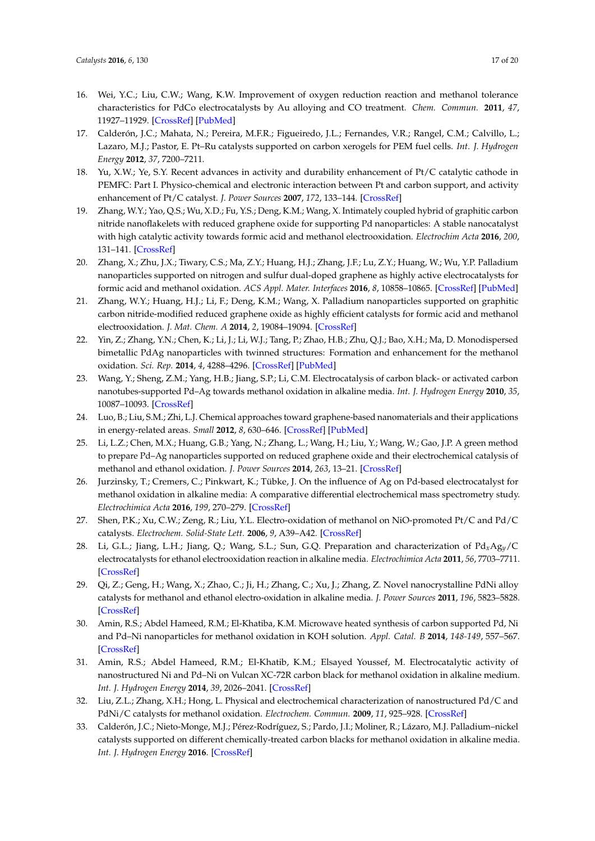- <span id="page-16-0"></span>16. Wei, Y.C.; Liu, C.W.; Wang, K.W. Improvement of oxygen reduction reaction and methanol tolerance characteristics for PdCo electrocatalysts by Au alloying and CO treatment. *Chem. Commun.* **2011**, *47*, 11927–11929. [\[CrossRef\]](http://dx.doi.org/10.1039/c1cc15110j) [\[PubMed\]](http://www.ncbi.nlm.nih.gov/pubmed/21975542)
- <span id="page-16-1"></span>17. Calderón, J.C.; Mahata, N.; Pereira, M.F.R.; Figueiredo, J.L.; Fernandes, V.R.; Rangel, C.M.; Calvillo, L.; Lazaro, M.J.; Pastor, E. Pt–Ru catalysts supported on carbon xerogels for PEM fuel cells. *Int. J. Hydrogen Energy* **2012**, *37*, 7200–7211.
- <span id="page-16-2"></span>18. Yu, X.W.; Ye, S.Y. Recent advances in activity and durability enhancement of Pt/C catalytic cathode in PEMFC: Part I. Physico-chemical and electronic interaction between Pt and carbon support, and activity enhancement of Pt/C catalyst. *J. Power Sources* **2007**, *172*, 133–144. [\[CrossRef\]](http://dx.doi.org/10.1016/j.jpowsour.2007.07.049)
- <span id="page-16-3"></span>19. Zhang, W.Y.; Yao, Q.S.; Wu, X.D.; Fu, Y.S.; Deng, K.M.; Wang, X. Intimately coupled hybrid of graphitic carbon nitride nanoflakelets with reduced graphene oxide for supporting Pd nanoparticles: A stable nanocatalyst with high catalytic activity towards formic acid and methanol electrooxidation. *Electrochim Acta* **2016**, *200*, 131–141. [\[CrossRef\]](http://dx.doi.org/10.1016/j.electacta.2016.03.169)
- <span id="page-16-4"></span>20. Zhang, X.; Zhu, J.X.; Tiwary, C.S.; Ma, Z.Y.; Huang, H.J.; Zhang, J.F.; Lu, Z.Y.; Huang, W.; Wu, Y.P. Palladium nanoparticles supported on nitrogen and sulfur dual-doped graphene as highly active electrocatalysts for formic acid and methanol oxidation. *ACS Appl. Mater. Interfaces* **2016**, *8*, 10858–10865. [\[CrossRef\]](http://dx.doi.org/10.1021/acsami.6b01580) [\[PubMed\]](http://www.ncbi.nlm.nih.gov/pubmed/27082661)
- <span id="page-16-5"></span>21. Zhang, W.Y.; Huang, H.J.; Li, F.; Deng, K.M.; Wang, X. Palladium nanoparticles supported on graphitic carbon nitride-modified reduced graphene oxide as highly efficient catalysts for formic acid and methanol electrooxidation. *J. Mat. Chem. A* **2014**, *2*, 19084–19094. [\[CrossRef\]](http://dx.doi.org/10.1039/C4TA03326D)
- <span id="page-16-6"></span>22. Yin, Z.; Zhang, Y.N.; Chen, K.; Li, J.; Li, W.J.; Tang, P.; Zhao, H.B.; Zhu, Q.J.; Bao, X.H.; Ma, D. Monodispersed bimetallic PdAg nanoparticles with twinned structures: Formation and enhancement for the methanol oxidation. *Sci. Rep.* **2014**, *4*, 4288–4296. [\[CrossRef\]](http://dx.doi.org/10.1038/srep04288) [\[PubMed\]](http://www.ncbi.nlm.nih.gov/pubmed/24608736)
- <span id="page-16-7"></span>23. Wang, Y.; Sheng, Z.M.; Yang, H.B.; Jiang, S.P.; Li, C.M. Electrocatalysis of carbon black- or activated carbon nanotubes-supported Pd–Ag towards methanol oxidation in alkaline media. *Int. J. Hydrogen Energy* **2010**, *35*, 10087–10093. [\[CrossRef\]](http://dx.doi.org/10.1016/j.ijhydene.2010.07.172)
- <span id="page-16-8"></span>24. Luo, B.; Liu, S.M.; Zhi, L.J. Chemical approaches toward graphene-based nanomaterials and their applications in energy-related areas. *Small* **2012**, *8*, 630–646. [\[CrossRef\]](http://dx.doi.org/10.1002/smll.201101396) [\[PubMed\]](http://www.ncbi.nlm.nih.gov/pubmed/22121112)
- <span id="page-16-9"></span>25. Li, L.Z.; Chen, M.X.; Huang, G.B.; Yang, N.; Zhang, L.; Wang, H.; Liu, Y.; Wang, W.; Gao, J.P. A green method to prepare Pd–Ag nanoparticles supported on reduced graphene oxide and their electrochemical catalysis of methanol and ethanol oxidation. *J. Power Sources* **2014**, *263*, 13–21. [\[CrossRef\]](http://dx.doi.org/10.1016/j.jpowsour.2014.04.021)
- <span id="page-16-10"></span>26. Jurzinsky, T.; Cremers, C.; Pinkwart, K.; Tübke, J. On the influence of Ag on Pd-based electrocatalyst for methanol oxidation in alkaline media: A comparative differential electrochemical mass spectrometry study. *Electrochimica Acta* **2016**, *199*, 270–279. [\[CrossRef\]](http://dx.doi.org/10.1016/j.electacta.2016.01.172)
- <span id="page-16-11"></span>27. Shen, P.K.; Xu, C.W.; Zeng, R.; Liu, Y.L. Electro-oxidation of methanol on NiO-promoted Pt/C and Pd/C catalysts. *Electrochem. Solid-State Lett.* **2006**, *9*, A39–A42. [\[CrossRef\]](http://dx.doi.org/10.1149/1.2139975)
- <span id="page-16-12"></span>28. Li, G.L.; Jiang, L.H.; Jiang, Q.; Wang, S.L.; Sun, G.Q. Preparation and characterization of Pd*x*Ag*y*/C electrocatalysts for ethanol electrooxidation reaction in alkaline media. *Electrochimica Acta* **2011**, *56*, 7703–7711. [\[CrossRef\]](http://dx.doi.org/10.1016/j.electacta.2011.06.036)
- <span id="page-16-13"></span>29. Qi, Z.; Geng, H.; Wang, X.; Zhao, C.; Ji, H.; Zhang, C.; Xu, J.; Zhang, Z. Novel nanocrystalline PdNi alloy catalysts for methanol and ethanol electro-oxidation in alkaline media. *J. Power Sources* **2011**, *196*, 5823–5828. [\[CrossRef\]](http://dx.doi.org/10.1016/j.jpowsour.2011.02.083)
- <span id="page-16-14"></span>30. Amin, R.S.; Abdel Hameed, R.M.; El-Khatiba, K.M. Microwave heated synthesis of carbon supported Pd, Ni and Pd–Ni nanoparticles for methanol oxidation in KOH solution. *Appl. Catal. B* **2014**, *148-149*, 557–567. [\[CrossRef\]](http://dx.doi.org/10.1016/j.apcatb.2013.11.020)
- <span id="page-16-15"></span>31. Amin, R.S.; Abdel Hameed, R.M.; El-Khatib, K.M.; Elsayed Youssef, M. Electrocatalytic activity of nanostructured Ni and Pd–Ni on Vulcan XC-72R carbon black for methanol oxidation in alkaline medium. *Int. J. Hydrogen Energy* **2014**, *39*, 2026–2041. [\[CrossRef\]](http://dx.doi.org/10.1016/j.ijhydene.2013.11.033)
- <span id="page-16-16"></span>32. Liu, Z.L.; Zhang, X.H.; Hong, L. Physical and electrochemical characterization of nanostructured Pd/C and PdNi/C catalysts for methanol oxidation. *Electrochem. Commun.* **2009**, *11*, 925–928. [\[CrossRef\]](http://dx.doi.org/10.1016/j.elecom.2009.02.030)
- <span id="page-16-17"></span>33. Calderón, J.C.; Nieto-Monge, M.J.; Pérez-Rodríguez, S.; Pardo, J.I.; Moliner, R.; Lázaro, M.J. Palladium–nickel catalysts supported on different chemically-treated carbon blacks for methanol oxidation in alkaline media. *Int. J. Hydrogen Energy* **2016**. [\[CrossRef\]](http://dx.doi.org/10.1016/j.ijhydene.2016.07.121)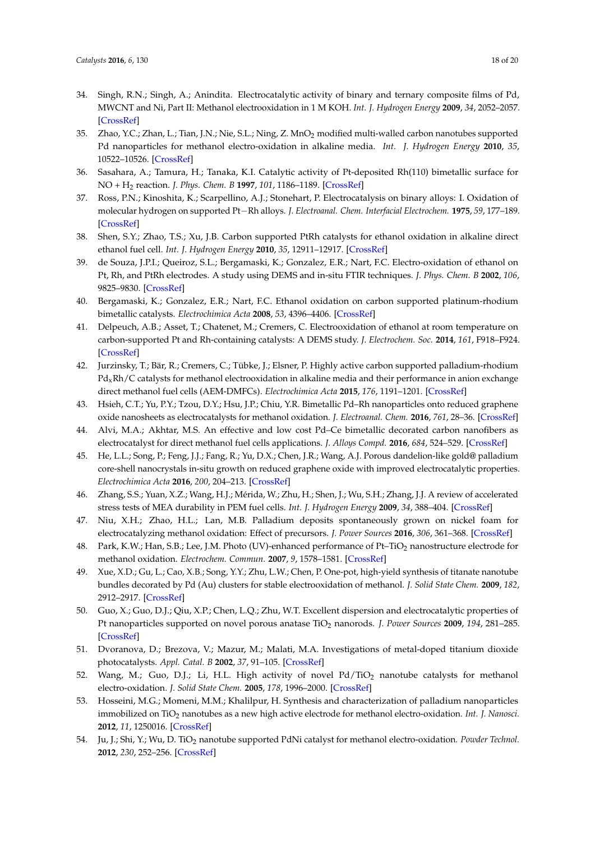- <span id="page-17-0"></span>34. Singh, R.N.; Singh, A.; Anindita. Electrocatalytic activity of binary and ternary composite films of Pd, MWCNT and Ni, Part II: Methanol electrooxidation in 1 M KOH. *Int. J. Hydrogen Energy* **2009**, *34*, 2052–2057. [\[CrossRef\]](http://dx.doi.org/10.1016/j.ijhydene.2008.12.047)
- <span id="page-17-1"></span>35. Zhao, Y.C.; Zhan, L.; Tian, J.N.; Nie, S.L.; Ning, Z. MnO<sup>2</sup> modified multi-walled carbon nanotubes supported Pd nanoparticles for methanol electro-oxidation in alkaline media. *Int. J. Hydrogen Energy* **2010**, *35*, 10522–10526. [\[CrossRef\]](http://dx.doi.org/10.1016/j.ijhydene.2010.07.048)
- <span id="page-17-2"></span>36. Sasahara, A.; Tamura, H.; Tanaka, K.I. Catalytic activity of Pt-deposited Rh(110) bimetallic surface for NO + H<sup>2</sup> reaction. *J. Phys. Chem. B* **1997**, *101*, 1186–1189. [\[CrossRef\]](http://dx.doi.org/10.1021/jp962829z)
- <span id="page-17-3"></span>37. Ross, P.N.; Kinoshita, K.; Scarpellino, A.J.; Stonehart, P. Electrocatalysis on binary alloys: I. Oxidation of molecular hydrogen on supported Pt−Rh alloys. *J. Electroanal. Chem. Interfacial Electrochem.* **1975**, *59*, 177–189. [\[CrossRef\]](http://dx.doi.org/10.1016/S0022-0728(75)80032-5)
- <span id="page-17-4"></span>38. Shen, S.Y.; Zhao, T.S.; Xu, J.B. Carbon supported PtRh catalysts for ethanol oxidation in alkaline direct ethanol fuel cell. *Int. J. Hydrogen Energy* **2010**, *35*, 12911–12917. [\[CrossRef\]](http://dx.doi.org/10.1016/j.ijhydene.2010.08.107)
- 39. de Souza, J.P.I.; Queiroz, S.L.; Bergamaski, K.; Gonzalez, E.R.; Nart, F.C. Electro-oxidation of ethanol on Pt, Rh, and PtRh electrodes. A study using DEMS and in-situ FTIR techniques. *J. Phys. Chem. B* **2002**, *106*, 9825–9830. [\[CrossRef\]](http://dx.doi.org/10.1021/jp014645c)
- 40. Bergamaski, K.; Gonzalez, E.R.; Nart, F.C. Ethanol oxidation on carbon supported platinum-rhodium bimetallic catalysts. *Electrochimica Acta* **2008**, *53*, 4396–4406. [\[CrossRef\]](http://dx.doi.org/10.1016/j.electacta.2008.01.060)
- <span id="page-17-5"></span>41. Delpeuch, A.B.; Asset, T.; Chatenet, M.; Cremers, C. Electrooxidation of ethanol at room temperature on carbon-supported Pt and Rh-containing catalysts: A DEMS study. *J. Electrochem. Soc.* **2014**, *161*, F918–F924. [\[CrossRef\]](http://dx.doi.org/10.1149/2.0731409jes)
- <span id="page-17-6"></span>42. Jurzinsky, T.; Bär, R.; Cremers, C.; Tübke, J.; Elsner, P. Highly active carbon supported palladium-rhodium  $Pd_xRh/C$  catalysts for methanol electrooxidation in alkaline media and their performance in anion exchange direct methanol fuel cells (AEM-DMFCs). *Electrochimica Acta* **2015**, *176*, 1191–1201. [\[CrossRef\]](http://dx.doi.org/10.1016/j.electacta.2015.07.176)
- <span id="page-17-7"></span>43. Hsieh, C.T.; Yu, P.Y.; Tzou, D.Y.; Hsu, J.P.; Chiu, Y.R. Bimetallic Pd–Rh nanoparticles onto reduced graphene oxide nanosheets as electrocatalysts for methanol oxidation. *J. Electroanal. Chem.* **2016**, *761*, 28–36. [\[CrossRef\]](http://dx.doi.org/10.1016/j.jelechem.2015.12.008)
- <span id="page-17-8"></span>44. Alvi, M.A.; Akhtar, M.S. An effective and low cost Pd–Ce bimetallic decorated carbon nanofibers as electrocatalyst for direct methanol fuel cells applications. *J. Alloys Compd.* **2016**, *684*, 524–529. [\[CrossRef\]](http://dx.doi.org/10.1016/j.jallcom.2016.05.101)
- <span id="page-17-9"></span>45. He, L.L.; Song, P.; Feng, J.J.; Fang, R.; Yu, D.X.; Chen, J.R.; Wang, A.J. Porous dandelion-like gold@ palladium core-shell nanocrystals in-situ growth on reduced graphene oxide with improved electrocatalytic properties. *Electrochimica Acta* **2016**, *200*, 204–213. [\[CrossRef\]](http://dx.doi.org/10.1016/j.electacta.2016.03.098)
- <span id="page-17-10"></span>46. Zhang, S.S.; Yuan, X.Z.; Wang, H.J.; Mérida, W.; Zhu, H.; Shen, J.; Wu, S.H.; Zhang, J.J. A review of accelerated stress tests of MEA durability in PEM fuel cells. *Int. J. Hydrogen Energy* **2009**, *34*, 388–404. [\[CrossRef\]](http://dx.doi.org/10.1016/j.ijhydene.2008.10.012)
- <span id="page-17-11"></span>47. Niu, X.H.; Zhao, H.L.; Lan, M.B. Palladium deposits spontaneously grown on nickel foam for electrocatalyzing methanol oxidation: Effect of precursors. *J. Power Sources* **2016**, *306*, 361–368. [\[CrossRef\]](http://dx.doi.org/10.1016/j.jpowsour.2015.12.044)
- <span id="page-17-12"></span>48. Park, K.W.; Han, S.B.; Lee, J.M. Photo (UV)-enhanced performance of Pt–TiO<sub>2</sub> nanostructure electrode for methanol oxidation. *Electrochem. Commun.* **2007**, *9*, 1578–1581. [\[CrossRef\]](http://dx.doi.org/10.1016/j.elecom.2007.02.020)
- 49. Xue, X.D.; Gu, L.; Cao, X.B.; Song, Y.Y.; Zhu, L.W.; Chen, P. One-pot, high-yield synthesis of titanate nanotube bundles decorated by Pd (Au) clusters for stable electrooxidation of methanol. *J. Solid State Chem.* **2009**, *182*, 2912–2917. [\[CrossRef\]](http://dx.doi.org/10.1016/j.jssc.2009.08.001)
- <span id="page-17-13"></span>50. Guo, X.; Guo, D.J.; Qiu, X.P.; Chen, L.Q.; Zhu, W.T. Excellent dispersion and electrocatalytic properties of Pt nanoparticles supported on novel porous anatase TiO<sup>2</sup> nanorods. *J. Power Sources* **2009**, *194*, 281–285. [\[CrossRef\]](http://dx.doi.org/10.1016/j.jpowsour.2009.05.035)
- <span id="page-17-14"></span>51. Dvoranova, D.; Brezova, V.; Mazur, M.; Malati, M.A. Investigations of metal-doped titanium dioxide photocatalysts. *Appl. Catal. B* **2002**, *37*, 91–105. [\[CrossRef\]](http://dx.doi.org/10.1016/S0926-3373(01)00335-6)
- <span id="page-17-15"></span>52. Wang, M.; Guo, D.J.; Li, H.L. High activity of novel  $Pd/TiO<sub>2</sub>$  nanotube catalysts for methanol electro-oxidation. *J. Solid State Chem.* **2005**, *178*, 1996–2000. [\[CrossRef\]](http://dx.doi.org/10.1016/j.jssc.2005.04.006)
- <span id="page-17-16"></span>53. Hosseini, M.G.; Momeni, M.M.; Khalilpur, H. Synthesis and characterization of palladium nanoparticles immobilized on TiO<sup>2</sup> nanotubes as a new high active electrode for methanol electro-oxidation. *Int. J. Nanosci.* **2012**, *11*, 1250016. [\[CrossRef\]](http://dx.doi.org/10.1142/S0219581X12500160)
- <span id="page-17-17"></span>54. Ju, J.; Shi, Y.; Wu, D. TiO<sup>2</sup> nanotube supported PdNi catalyst for methanol electro-oxidation. *Powder Technol.* **2012**, *230*, 252–256. [\[CrossRef\]](http://dx.doi.org/10.1016/j.powtec.2012.06.046)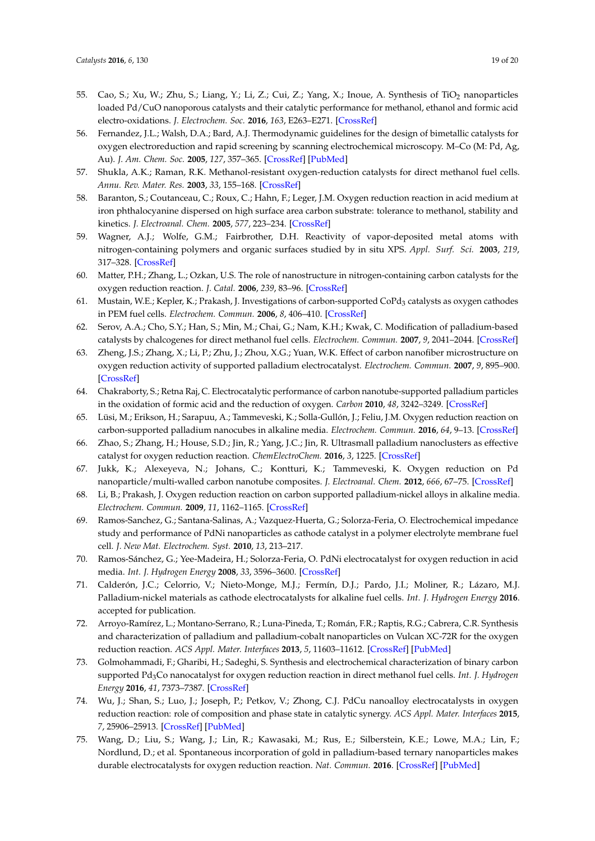- <span id="page-18-0"></span>55. Cao, S.; Xu, W.; Zhu, S.; Liang, Y.; Li, Z.; Cui, Z.; Yang, X.; Inoue, A. Synthesis of TiO<sub>2</sub> nanoparticles loaded Pd/CuO nanoporous catalysts and their catalytic performance for methanol, ethanol and formic acid electro-oxidations. *J. Electrochem. Soc.* **2016**, *163*, E263–E271. [\[CrossRef\]](http://dx.doi.org/10.1149/2.0661609jes)
- <span id="page-18-1"></span>56. Fernandez, J.L.; Walsh, D.A.; Bard, A.J. Thermodynamic guidelines for the design of bimetallic catalysts for oxygen electroreduction and rapid screening by scanning electrochemical microscopy. M–Co (M: Pd, Ag, Au). *J. Am. Chem. Soc.* **2005**, *127*, 357–365. [\[CrossRef\]](http://dx.doi.org/10.1021/ja0449729) [\[PubMed\]](http://www.ncbi.nlm.nih.gov/pubmed/15631486)
- <span id="page-18-2"></span>57. Shukla, A.K.; Raman, R.K. Methanol-resistant oxygen-reduction catalysts for direct methanol fuel cells. *Annu. Rev. Mater. Res.* **2003**, *33*, 155–168. [\[CrossRef\]](http://dx.doi.org/10.1146/annurev.matsci.33.072302.093511)
- <span id="page-18-3"></span>58. Baranton, S.; Coutanceau, C.; Roux, C.; Hahn, F.; Leger, J.M. Oxygen reduction reaction in acid medium at iron phthalocyanine dispersed on high surface area carbon substrate: tolerance to methanol, stability and kinetics. *J. Electroanal. Chem.* **2005**, *577*, 223–234. [\[CrossRef\]](http://dx.doi.org/10.1016/j.jelechem.2004.11.034)
- 59. Wagner, A.J.; Wolfe, G.M.; Fairbrother, D.H. Reactivity of vapor-deposited metal atoms with nitrogen-containing polymers and organic surfaces studied by in situ XPS. *Appl. Surf. Sci.* **2003**, *219*, 317–328. [\[CrossRef\]](http://dx.doi.org/10.1016/S0169-4332(03)00705-0)
- <span id="page-18-4"></span>60. Matter, P.H.; Zhang, L.; Ozkan, U.S. The role of nanostructure in nitrogen-containing carbon catalysts for the oxygen reduction reaction. *J. Catal.* **2006**, *239*, 83–96. [\[CrossRef\]](http://dx.doi.org/10.1016/j.jcat.2006.01.022)
- <span id="page-18-5"></span>61. Mustain, W.E.; Kepler, K.; Prakash, J. Investigations of carbon-supported CoPd<sub>3</sub> catalysts as oxygen cathodes in PEM fuel cells. *Electrochem. Commun.* **2006**, *8*, 406–410. [\[CrossRef\]](http://dx.doi.org/10.1016/j.elecom.2005.12.015)
- <span id="page-18-6"></span>62. Serov, A.A.; Cho, S.Y.; Han, S.; Min, M.; Chai, G.; Nam, K.H.; Kwak, C. Modification of palladium-based catalysts by chalcogenes for direct methanol fuel cells. *Electrochem. Commun.* **2007**, *9*, 2041–2044. [\[CrossRef\]](http://dx.doi.org/10.1016/j.elecom.2007.06.005)
- <span id="page-18-7"></span>63. Zheng, J.S.; Zhang, X.; Li, P.; Zhu, J.; Zhou, X.G.; Yuan, W.K. Effect of carbon nanofiber microstructure on oxygen reduction activity of supported palladium electrocatalyst. *Electrochem. Commun.* **2007**, *9*, 895–900. [\[CrossRef\]](http://dx.doi.org/10.1016/j.elecom.2006.12.006)
- <span id="page-18-8"></span>64. Chakraborty, S.; Retna Raj, C. Electrocatalytic performance of carbon nanotube-supported palladium particles in the oxidation of formic acid and the reduction of oxygen. *Carbon* **2010**, *48*, 3242–3249. [\[CrossRef\]](http://dx.doi.org/10.1016/j.carbon.2010.05.014)
- <span id="page-18-9"></span>65. Lüsi, M.; Erikson, H.; Sarapuu, A.; Tammeveski, K.; Solla-Gullón, J.; Feliu, J.M. Oxygen reduction reaction on carbon-supported palladium nanocubes in alkaline media. *Electrochem. Commun.* **2016**, *64*, 9–13. [\[CrossRef\]](http://dx.doi.org/10.1016/j.elecom.2015.12.016)
- <span id="page-18-10"></span>66. Zhao, S.; Zhang, H.; House, S.D.; Jin, R.; Yang, J.C.; Jin, R. Ultrasmall palladium nanoclusters as effective catalyst for oxygen reduction reaction. *ChemElectroChem.* **2016**, *3*, 1225. [\[CrossRef\]](http://dx.doi.org/10.1002/celc.201600053)
- <span id="page-18-11"></span>67. Jukk, K.; Alexeyeva, N.; Johans, C.; Kontturi, K.; Tammeveski, K. Oxygen reduction on Pd nanoparticle/multi-walled carbon nanotube composites. *J. Electroanal. Chem.* **2012**, *666*, 67–75. [\[CrossRef\]](http://dx.doi.org/10.1016/j.jelechem.2011.12.003)
- <span id="page-18-12"></span>68. Li, B.; Prakash, J. Oxygen reduction reaction on carbon supported palladium-nickel alloys in alkaline media. *Electrochem. Commun.* **2009**, *11*, 1162–1165. [\[CrossRef\]](http://dx.doi.org/10.1016/j.elecom.2009.03.037)
- <span id="page-18-13"></span>69. Ramos-Sanchez, G.; Santana-Salinas, A.; Vazquez-Huerta, G.; Solorza-Feria, O. Electrochemical impedance study and performance of PdNi nanoparticles as cathode catalyst in a polymer electrolyte membrane fuel cell. *J. New Mat. Electrochem. Syst.* **2010**, *13*, 213–217.
- <span id="page-18-14"></span>70. Ramos-Sánchez, G.; Yee-Madeira, H.; Solorza-Feria, O. PdNi electrocatalyst for oxygen reduction in acid media. *Int. J. Hydrogen Energy* **2008**, *33*, 3596–3600. [\[CrossRef\]](http://dx.doi.org/10.1016/j.ijhydene.2008.03.004)
- <span id="page-18-15"></span>71. Calderón, J.C.; Celorrio, V.; Nieto-Monge, M.J.; Fermín, D.J.; Pardo, J.I.; Moliner, R.; Lázaro, M.J. Palladium-nickel materials as cathode electrocatalysts for alkaline fuel cells. *Int. J. Hydrogen Energy* **2016**. accepted for publication.
- <span id="page-18-16"></span>72. Arroyo-Ramírez, L.; Montano-Serrano, R.; Luna-Pineda, T.; Román, F.R.; Raptis, R.G.; Cabrera, C.R. Synthesis and characterization of palladium and palladium-cobalt nanoparticles on Vulcan XC-72R for the oxygen reduction reaction. *ACS Appl. Mater. Interfaces* **2013**, *5*, 11603–11612. [\[CrossRef\]](http://dx.doi.org/10.1021/am402932h) [\[PubMed\]](http://www.ncbi.nlm.nih.gov/pubmed/24102312)
- <span id="page-18-17"></span>73. Golmohammadi, F.; Gharibi, H.; Sadeghi, S. Synthesis and electrochemical characterization of binary carbon supported Pd3Co nanocatalyst for oxygen reduction reaction in direct methanol fuel cells. *Int. J. Hydrogen Energy* **2016**, *41*, 7373–7387. [\[CrossRef\]](http://dx.doi.org/10.1016/j.ijhydene.2016.03.093)
- <span id="page-18-18"></span>74. Wu, J.; Shan, S.; Luo, J.; Joseph, P.; Petkov, V.; Zhong, C.J. PdCu nanoalloy electrocatalysts in oxygen reduction reaction: role of composition and phase state in catalytic synergy. *ACS Appl. Mater. Interfaces* **2015**, *7*, 25906–25913. [\[CrossRef\]](http://dx.doi.org/10.1021/acsami.5b08478) [\[PubMed\]](http://www.ncbi.nlm.nih.gov/pubmed/26569372)
- <span id="page-18-19"></span>75. Wang, D.; Liu, S.; Wang, J.; Lin, R.; Kawasaki, M.; Rus, E.; Silberstein, K.E.; Lowe, M.A.; Lin, F.; Nordlund, D.; et al. Spontaneous incorporation of gold in palladium-based ternary nanoparticles makes durable electrocatalysts for oxygen reduction reaction. *Nat. Commun.* **2016**. [\[CrossRef\]](http://dx.doi.org/10.1038/ncomms11941) [\[PubMed\]](http://www.ncbi.nlm.nih.gov/pubmed/27336795)